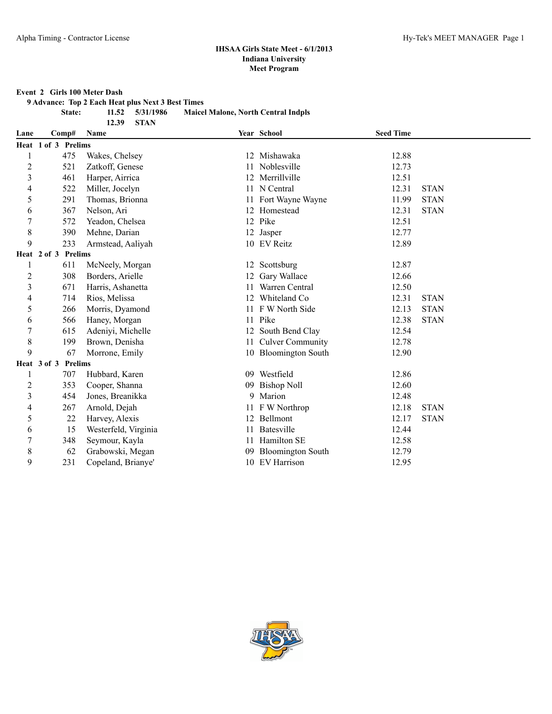#### **Event 2 Girls 100 Meter Dash**

**9 Advance: Top 2 Each Heat plus Next 3 Best Times**

**State: 11.52 5/31/1986 Maicel Malone, North Central Indpls**

| 11.94 | <i>313</i> 1713 |
|-------|-----------------|
| 12.39 | <b>STAN</b>     |

| Lane                    |                     | Comp#          | <b>Name</b>          |    | Year School              | <b>Seed Time</b> |             |
|-------------------------|---------------------|----------------|----------------------|----|--------------------------|------------------|-------------|
|                         | Heat 1 of 3 Prelims |                |                      |    |                          |                  |             |
|                         |                     | 475            | Wakes, Chelsey       |    | 12 Mishawaka             | 12.88            |             |
| 2                       |                     | 521            | Zatkoff, Genese      |    | Noblesville              | 12.73            |             |
| 3                       |                     | 461            | Harper, Airrica      | 12 | Merrillville             | 12.51            |             |
| 4                       |                     | 522            | Miller, Jocelyn      |    | 11 N Central             | 12.31            | <b>STAN</b> |
| 5                       |                     | 291            | Thomas, Brionna      |    | 11 Fort Wayne Wayne      | 11.99            | <b>STAN</b> |
| 6                       |                     | 367            | Nelson, Ari          |    | 12 Homestead             | 12.31            | <b>STAN</b> |
| 7                       |                     | 572            | Yeadon, Chelsea      |    | 12 Pike                  | 12.51            |             |
| 8                       |                     | 390            | Mehne, Darian        |    | 12 Jasper                | 12.77            |             |
| 9                       |                     | 233            | Armstead, Aaliyah    |    | 10 EV Reitz              | 12.89            |             |
|                         | Heat 2 of 3         | <b>Prelims</b> |                      |    |                          |                  |             |
| 1                       |                     | 611            | McNeely, Morgan      |    | 12 Scottsburg            | 12.87            |             |
| 2                       |                     | 308            | Borders, Arielle     |    | Gary Wallace             | 12.66            |             |
| 3                       |                     | 671            | Harris, Ashanetta    |    | Warren Central           | 12.50            |             |
| 4                       |                     | 714            | Rios, Melissa        |    | 12 Whiteland Co          | 12.31            | <b>STAN</b> |
| 5                       |                     | 266            | Morris, Dyamond      |    | 11 F W North Side        | 12.13            | <b>STAN</b> |
| 6                       |                     | 566            | Haney, Morgan        |    | 11 Pike                  | 12.38            | <b>STAN</b> |
| 7                       |                     | 615            | Adeniyi, Michelle    | 12 | South Bend Clay          | 12.54            |             |
| 8                       |                     | 199            | Brown, Denisha       | 11 | <b>Culver Community</b>  | 12.78            |             |
| 9                       |                     | 67             | Morrone, Emily       |    | 10 Bloomington South     | 12.90            |             |
|                         | Heat 3 of 3         | <b>Prelims</b> |                      |    |                          |                  |             |
|                         |                     | 707            | Hubbard, Karen       |    | 09 Westfield             | 12.86            |             |
| $\overline{\mathbf{c}}$ |                     | 353            | Cooper, Shanna       | 09 | <b>Bishop Noll</b>       | 12.60            |             |
| 3                       |                     | 454            | Jones, Breanikka     | 9  | Marion                   | 12.48            |             |
| 4                       |                     | 267            | Arnold, Dejah        |    | 11 F W Northrop          | 12.18            | <b>STAN</b> |
| 5                       |                     | 22             | Harvey, Alexis       |    | 12 Bellmont              | 12.17            | <b>STAN</b> |
| 6                       |                     | 15             | Westerfeld, Virginia |    | Batesville               | 12.44            |             |
| 7                       |                     | 348            | Seymour, Kayla       |    | Hamilton SE              | 12.58            |             |
| 8                       |                     | 62             | Grabowski, Megan     |    | <b>Bloomington South</b> | 12.79            |             |
| 9                       |                     | 231            | Copeland, Brianye'   |    | 10 EV Harrison           | 12.95            |             |

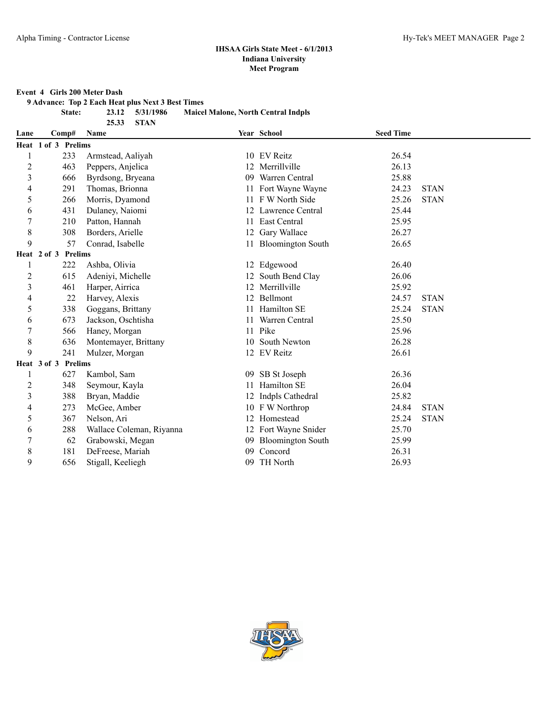#### **Event 4 Girls 200 Meter Dash**

**9 Advance: Top 2 Each Heat plus Next 3 Best Times**

**25.33 STAN**

**State: 23.12 5/31/1986 Maicel Malone, North Central Indpls**

| Lane           | Comp#               |     | <b>Name</b>              |    | Year School              | <b>Seed Time</b> |             |
|----------------|---------------------|-----|--------------------------|----|--------------------------|------------------|-------------|
|                | Heat 1 of 3 Prelims |     |                          |    |                          |                  |             |
| 1              |                     | 233 | Armstead, Aaliyah        |    | 10 EV Reitz              | 26.54            |             |
| $\overline{c}$ |                     | 463 | Peppers, Anjelica        | 12 | Merrillville             | 26.13            |             |
| 3              |                     | 666 | Byrdsong, Bryeana        | 09 | Warren Central           | 25.88            |             |
| 4              |                     | 291 | Thomas, Brionna          | 11 | Fort Wayne Wayne         | 24.23            | <b>STAN</b> |
| 5              |                     | 266 | Morris, Dyamond          | 11 | F W North Side           | 25.26            | <b>STAN</b> |
| 6              |                     | 431 | Dulaney, Naiomi          |    | 12 Lawrence Central      | 25.44            |             |
| 7              |                     | 210 | Patton, Hannah           |    | 11 East Central          | 25.95            |             |
| 8              |                     | 308 | Borders, Arielle         | 12 | Gary Wallace             | 26.27            |             |
| 9              |                     | 57  | Conrad, Isabelle         |    | 11 Bloomington South     | 26.65            |             |
|                | Heat 2 of 3 Prelims |     |                          |    |                          |                  |             |
| 1              |                     | 222 | Ashba, Olivia            |    | 12 Edgewood              | 26.40            |             |
| 2              |                     | 615 | Adeniyi, Michelle        |    | 12 South Bend Clay       | 26.06            |             |
| 3              |                     | 461 | Harper, Airrica          |    | 12 Merrillville          | 25.92            |             |
| 4              |                     | 22  | Harvey, Alexis           |    | 12 Bellmont              | 24.57            | <b>STAN</b> |
| 5              |                     | 338 | Goggans, Brittany        | 11 | Hamilton SE              | 25.24            | <b>STAN</b> |
| 6              |                     | 673 | Jackson, Oschtisha       | 11 | Warren Central           | 25.50            |             |
| $\overline{7}$ |                     | 566 | Haney, Morgan            | 11 | Pike                     | 25.96            |             |
| $\,$ 8 $\,$    |                     | 636 | Montemayer, Brittany     |    | 10 South Newton          | 26.28            |             |
| 9              |                     | 241 | Mulzer, Morgan           |    | 12 EV Reitz              | 26.61            |             |
|                | Heat 3 of 3 Prelims |     |                          |    |                          |                  |             |
| 1              |                     | 627 | Kambol, Sam              | 09 | SB St Joseph             | 26.36            |             |
| 2              |                     | 348 | Seymour, Kayla           | 11 | Hamilton SE              | 26.04            |             |
| 3              |                     | 388 | Bryan, Maddie            | 12 | Indpls Cathedral         | 25.82            |             |
| 4              |                     | 273 | McGee, Amber             |    | 10 F W Northrop          | 24.84            | <b>STAN</b> |
| 5              |                     | 367 | Nelson, Ari              |    | 12 Homestead             | 25.24            | <b>STAN</b> |
| 6              |                     | 288 | Wallace Coleman, Riyanna |    | 12 Fort Wayne Snider     | 25.70            |             |
| $\overline{7}$ |                     | 62  | Grabowski, Megan         | 09 | <b>Bloomington South</b> | 25.99            |             |
| 8              |                     | 181 | DeFreese, Mariah         | 09 | Concord                  | 26.31            |             |
| 9              |                     | 656 | Stigall, Keeliegh        | 09 | TH North                 | 26.93            |             |

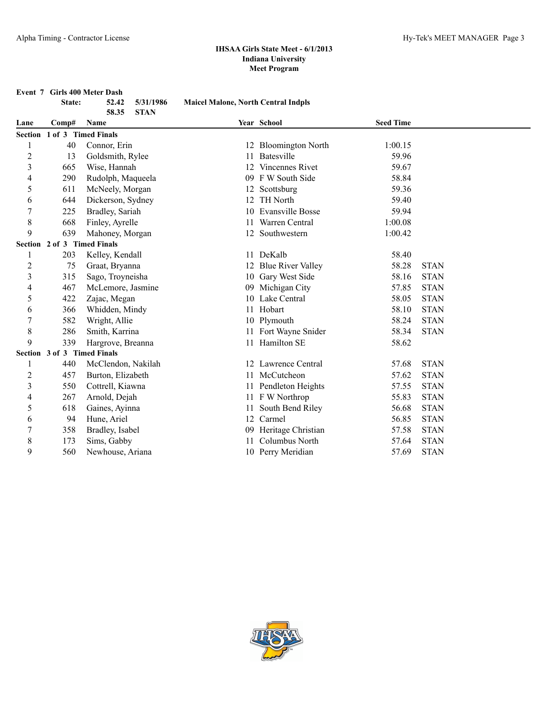**Event 7 Girls 400 Meter Dash**<br>**State:** 52.42 5/31/1986

|                | State:                      | 5/31/1986<br>52.42<br>58.35<br><b>STAN</b> | <b>Maicel Malone, North Central Indpls</b> |                          |                  |             |
|----------------|-----------------------------|--------------------------------------------|--------------------------------------------|--------------------------|------------------|-------------|
| Lane           | Comp#                       | Name                                       |                                            | Year School              | <b>Seed Time</b> |             |
|                | Section 1 of 3 Timed Finals |                                            |                                            |                          |                  |             |
| 1              | 40                          | Connor, Erin                               |                                            | 12 Bloomington North     | 1:00.15          |             |
| $\overline{c}$ | 13                          | Goldsmith, Rylee                           | 11                                         | <b>Batesville</b>        | 59.96            |             |
| 3              | 665                         | Wise, Hannah                               | 12                                         | <b>Vincennes Rivet</b>   | 59.67            |             |
| 4              | 290                         | Rudolph, Maqueela                          |                                            | 09 F W South Side        | 58.84            |             |
| 5              | 611                         | McNeely, Morgan                            |                                            | 12 Scottsburg            | 59.36            |             |
| 6              | 644                         | Dickerson, Sydney                          | 12                                         | <b>TH</b> North          | 59.40            |             |
| $\overline{7}$ | 225                         | Bradley, Sariah                            | 10                                         | <b>Evansville Bosse</b>  | 59.94            |             |
| 8              | 668                         | Finley, Ayrelle                            | 11                                         | Warren Central           | 1:00.08          |             |
| 9              | 639                         | Mahoney, Morgan                            |                                            | 12 Southwestern          | 1:00.42          |             |
|                | Section 2 of 3 Timed Finals |                                            |                                            |                          |                  |             |
|                | 203                         | Kelley, Kendall                            |                                            | 11 DeKalb                | 58.40            |             |
| $\overline{c}$ | 75                          | Graat, Bryanna                             | 12                                         | <b>Blue River Valley</b> | 58.28            | <b>STAN</b> |
| 3              | 315                         | Sago, Troyneisha                           | 10                                         | Gary West Side           | 58.16            | <b>STAN</b> |
| 4              | 467                         | McLemore, Jasmine                          | 09                                         | Michigan City            | 57.85            | <b>STAN</b> |
| 5              | 422                         | Zajac, Megan                               | 10                                         | Lake Central             | 58.05            | <b>STAN</b> |
| 6              | 366                         | Whidden, Mindy                             |                                            | 11 Hobart                | 58.10            | <b>STAN</b> |
| 7              | 582                         | Wright, Allie                              |                                            | 10 Plymouth              | 58.24            | <b>STAN</b> |
| 8              | 286                         | Smith, Karrina                             |                                            | 11 Fort Wayne Snider     | 58.34            | <b>STAN</b> |
| 9              | 339                         | Hargrove, Breanna                          |                                            | 11 Hamilton SE           | 58.62            |             |
|                | Section 3 of 3 Timed Finals |                                            |                                            |                          |                  |             |
|                | 440                         | McClendon, Nakilah                         |                                            | 12 Lawrence Central      | 57.68            | <b>STAN</b> |
| $\overline{c}$ | 457                         | Burton, Elizabeth                          | 11                                         | McCutcheon               | 57.62            | <b>STAN</b> |
| 3              | 550                         | Cottrell, Kiawna                           |                                            | 11 Pendleton Heights     | 57.55            | <b>STAN</b> |
| 4              | 267                         | Arnold, Dejah                              |                                            | 11 F W Northrop          | 55.83            | <b>STAN</b> |
| 5              | 618                         | Gaines, Ayinna                             | 11                                         | South Bend Riley         | 56.68            | <b>STAN</b> |
| 6              | 94                          | Hune, Ariel                                | 12                                         | Carmel                   | 56.85            | <b>STAN</b> |
| 7              | 358                         | Bradley, Isabel                            | 09                                         | Heritage Christian       | 57.58            | <b>STAN</b> |
| 8              | 173                         | Sims, Gabby                                | 11                                         | Columbus North           | 57.64            | <b>STAN</b> |
| 9              | 560                         | Newhouse, Ariana                           |                                            | 10 Perry Meridian        | 57.69            | <b>STAN</b> |

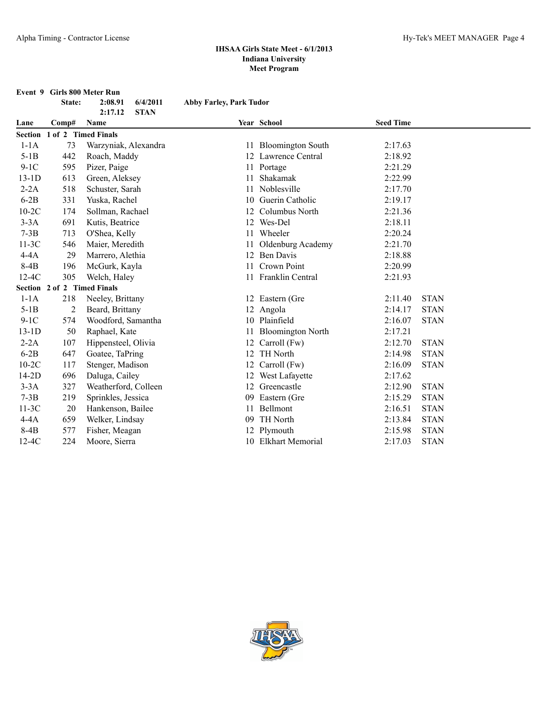|         | State:         | Event 9 Girls 800 Meter Run<br>2:08.91<br>6/4/2011 | <b>Abby Farley, Park Tudor</b> |                          |                  |             |
|---------|----------------|----------------------------------------------------|--------------------------------|--------------------------|------------------|-------------|
|         |                | 2:17.12<br><b>STAN</b>                             |                                |                          |                  |             |
| Lane    | Comp#          | Name                                               |                                | Year School              | <b>Seed Time</b> |             |
|         |                | Section 1 of 2 Timed Finals                        |                                |                          |                  |             |
| $1-1A$  | 73             | Warzyniak, Alexandra                               | 11                             | <b>Bloomington South</b> | 2:17.63          |             |
| $5-1B$  | 442            | Roach, Maddy                                       |                                | 12 Lawrence Central      | 2:18.92          |             |
| $9-1C$  | 595            | Pizer, Paige                                       | 11                             | Portage                  | 2:21.29          |             |
| $13-1D$ | 613            | Green, Aleksey                                     | 11                             | Shakamak                 | 2:22.99          |             |
| $2-2A$  | 518            | Schuster, Sarah                                    | 11                             | Noblesville              | 2:17.70          |             |
| $6-2B$  | 331            | Yuska, Rachel                                      | 10                             | Guerin Catholic          | 2:19.17          |             |
| $10-2C$ | 174            | Sollman, Rachael                                   | 12                             | Columbus North           | 2:21.36          |             |
| $3-3A$  | 691            | Kutis, Beatrice                                    | 12                             | Wes-Del                  | 2:18.11          |             |
| $7-3B$  | 713            | O'Shea, Kelly                                      | 11                             | Wheeler                  | 2:20.24          |             |
| $11-3C$ | 546            | Maier, Meredith                                    | 11                             | Oldenburg Academy        | 2:21.70          |             |
| $4-4A$  | 29             | Marrero, Alethia                                   | 12                             | <b>Ben Davis</b>         | 2:18.88          |             |
| 8-4B    | 196            | McGurk, Kayla                                      | 11                             | Crown Point              | 2:20.99          |             |
| $12-4C$ | 305            | Welch, Haley                                       |                                | 11 Franklin Central      | 2:21.93          |             |
|         |                | Section 2 of 2 Timed Finals                        |                                |                          |                  |             |
| $1-1A$  | 218            | Neeley, Brittany                                   |                                | 12 Eastern (Gre          | 2:11.40          | <b>STAN</b> |
| $5-1B$  | $\overline{c}$ | Beard, Brittany                                    |                                | 12 Angola                | 2:14.17          | <b>STAN</b> |
| $9-1C$  | 574            | Woodford, Samantha                                 |                                | 10 Plainfield            | 2:16.07          | <b>STAN</b> |
| $13-1D$ | 50             | Raphael, Kate                                      | 11                             | <b>Bloomington North</b> | 2:17.21          |             |
| $2-2A$  | 107            | Hippensteel, Olivia                                | 12                             | Carroll (Fw)             | 2:12.70          | <b>STAN</b> |
| $6-2B$  | 647            | Goatee, TaPring                                    | 12                             | TH North                 | 2:14.98          | <b>STAN</b> |
| $10-2C$ | 117            | Stenger, Madison                                   | 12                             | Carroll (Fw)             | 2:16.09          | <b>STAN</b> |
| $14-2D$ | 696            | Daluga, Cailey                                     | 12                             | West Lafayette           | 2:17.62          |             |
| $3-3A$  | 327            | Weatherford, Colleen                               | 12                             | Greencastle              | 2:12.90          | <b>STAN</b> |
| $7-3B$  | 219            | Sprinkles, Jessica                                 | 09                             | Eastern (Gre             | 2:15.29          | <b>STAN</b> |
| $11-3C$ | 20             | Hankenson, Bailee                                  | 11                             | Bellmont                 | 2:16.51          | <b>STAN</b> |
| $4-4A$  | 659            | Welker, Lindsay                                    | 09                             | TH North                 | 2:13.84          | <b>STAN</b> |
| $8-4B$  | 577            | Fisher, Meagan                                     | 12                             | Plymouth                 | 2:15.98          | <b>STAN</b> |
| $12-4C$ | 224            | Moore, Sierra                                      |                                | 10 Elkhart Memorial      | 2:17.03          | <b>STAN</b> |

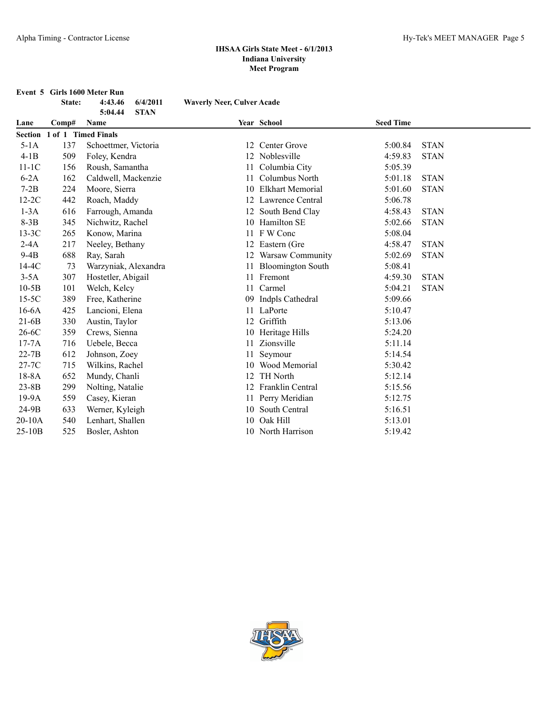| Event 5 Girls 1600 Meter Run |                  |                                   |
|------------------------------|------------------|-----------------------------------|
| State:                       | 4:43.46 6/4/2011 | <b>Waverly Neer, Culver Acade</b> |

|           |       | <b>STAN</b><br>5:04.44 |    |                         |                  |             |
|-----------|-------|------------------------|----|-------------------------|------------------|-------------|
| Lane      | Comp# | Name                   |    | Year School             | <b>Seed Time</b> |             |
| Section   |       | 1 of 1 Timed Finals    |    |                         |                  |             |
| $5-1A$    | 137   | Schoettmer, Victoria   | 12 | Center Grove            | 5:00.84          | <b>STAN</b> |
| $4-1B$    | 509   | Foley, Kendra          |    | 12 Noblesville          | 4:59.83          | <b>STAN</b> |
| $11-1C$   | 156   | Roush, Samantha        | 11 | Columbia City           | 5:05.39          |             |
| $6-2A$    | 162   | Caldwell, Mackenzie    | 11 | Columbus North          | 5:01.18          | <b>STAN</b> |
| $7-2B$    | 224   | Moore, Sierra          | 10 | <b>Elkhart Memorial</b> | 5:01.60          | <b>STAN</b> |
| $12-2C$   | 442   | Roach, Maddy           |    | 12 Lawrence Central     | 5:06.78          |             |
| $1-3A$    | 616   | Farrough, Amanda       |    | 12 South Bend Clay      | 4:58.43          | <b>STAN</b> |
| $8-3B$    | 345   | Nichwitz, Rachel       |    | 10 Hamilton SE          | 5:02.66          | <b>STAN</b> |
| $13-3C$   | 265   | Konow, Marina          | 11 | F W Conc                | 5:08.04          |             |
| $2-4A$    | 217   | Neeley, Bethany        |    | 12 Eastern (Gre         | 4:58.47          | <b>STAN</b> |
| $9-4B$    | 688   | Ray, Sarah             |    | 12 Warsaw Community     | 5:02.69          | <b>STAN</b> |
| 14-4C     | 73    | Warzyniak, Alexandra   |    | 11 Bloomington South    | 5:08.41          |             |
| $3-5A$    | 307   | Hostetler, Abigail     | 11 | Fremont                 | 4:59.30          | <b>STAN</b> |
| $10-5B$   | 101   | Welch, Kelcy           | 11 | Carmel                  | 5:04.21          | <b>STAN</b> |
| $15-5C$   | 389   | Free, Katherine        | 09 | Indpls Cathedral        | 5:09.66          |             |
| $16-6A$   | 425   | Lancioni, Elena        |    | 11 LaPorte              | 5:10.47          |             |
| $21-6B$   | 330   | Austin, Taylor         | 12 | Griffith                | 5:13.06          |             |
| $26-6C$   | 359   | Crews, Sienna          |    | 10 Heritage Hills       | 5:24.20          |             |
| $17-7A$   | 716   | Uebele, Becca          | 11 | Zionsville              | 5:11.14          |             |
| $22-7B$   | 612   | Johnson, Zoey          |    | Seymour                 | 5:14.54          |             |
| 27-7C     | 715   | Wilkins, Rachel        |    | 10 Wood Memorial        | 5:30.42          |             |
| $18-8A$   | 652   | Mundy, Chanli          | 12 | <b>TH</b> North         | 5:12.14          |             |
| $23 - 8B$ | 299   | Nolting, Natalie       | 12 | Franklin Central        | 5:15.56          |             |
| $19-9A$   | 559   | Casey, Kieran          |    | 11 Perry Meridian       | 5:12.75          |             |
| 24-9B     | 633   | Werner, Kyleigh        | 10 | South Central           | 5:16.51          |             |
| 20-10A    | 540   | Lenhart, Shallen       | 10 | Oak Hill                | 5:13.01          |             |
| 25-10B    | 525   | Bosler, Ashton         |    | 10 North Harrison       | 5:19.42          |             |

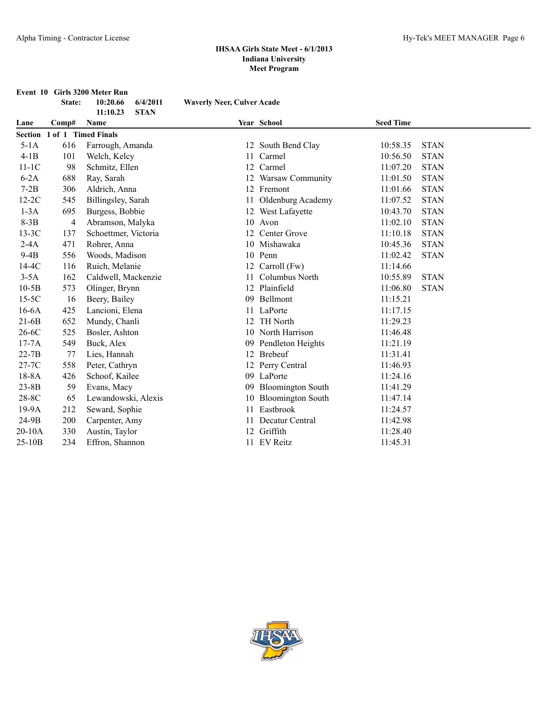| Event 10 Girls 3200 Meter Run<br>10:20.66<br>6/4/2011<br>State:<br><b>Waverly Neer, Culver Acade</b> |                             |                         |    |                          |                  |             |  |  |
|------------------------------------------------------------------------------------------------------|-----------------------------|-------------------------|----|--------------------------|------------------|-------------|--|--|
|                                                                                                      |                             | <b>STAN</b><br>11:10.23 |    |                          |                  |             |  |  |
| Lane                                                                                                 | Comp#                       | Name                    |    | Year School              | <b>Seed Time</b> |             |  |  |
|                                                                                                      | Section 1 of 1 Timed Finals |                         |    |                          |                  |             |  |  |
| $5-1A$                                                                                               | 616                         | Farrough, Amanda        |    | 12 South Bend Clay       | 10:58.35         | <b>STAN</b> |  |  |
| $4-1B$                                                                                               | 101                         | Welch, Kelcy            | 11 | Carmel                   | 10:56.50         | <b>STAN</b> |  |  |
| $11-1C$                                                                                              | 98                          | Schmitz, Ellen          | 12 | Carmel                   | 11:07.20         | <b>STAN</b> |  |  |
| $6-2A$                                                                                               | 688                         | Ray, Sarah              |    | 12 Warsaw Community      | 11:01.50         | <b>STAN</b> |  |  |
| $7-2B$                                                                                               | 306                         | Aldrich, Anna           |    | 12 Fremont               | 11:01.66         | <b>STAN</b> |  |  |
| $12-2C$                                                                                              | 545                         | Billingsley, Sarah      |    | 11 Oldenburg Academy     | 11:07.52         | <b>STAN</b> |  |  |
| $1-3A$                                                                                               | 695                         | Burgess, Bobbie         |    | 12 West Lafayette        | 10:43.70         | <b>STAN</b> |  |  |
| $8-3B$                                                                                               | 4                           | Abramson, Malyka        | 10 | Avon                     | 11:02.10         | <b>STAN</b> |  |  |
| $13-3C$                                                                                              | 137                         | Schoettmer, Victoria    | 12 | Center Grove             | 11:10.18         | <b>STAN</b> |  |  |
| $2-4A$                                                                                               | 471                         | Rohrer, Anna            |    | 10 Mishawaka             | 10:45.36         | <b>STAN</b> |  |  |
| $9-4B$                                                                                               | 556                         | Woods, Madison          | 10 | Penn                     | 11:02.42         | <b>STAN</b> |  |  |
| 14-4C                                                                                                | 116                         | Ruich, Melanie          |    | 12 Carroll (Fw)          | 11:14.66         |             |  |  |
| $3-5A$                                                                                               | 162                         | Caldwell, Mackenzie     | 11 | Columbus North           | 10:55.89         | <b>STAN</b> |  |  |
| $10-5B$                                                                                              | 573                         | Olinger, Brynn          |    | 12 Plainfield            | 11:06.80         | <b>STAN</b> |  |  |
| $15-5C$                                                                                              | 16                          | Beery, Bailey           | 09 | Bellmont                 | 11:15.21         |             |  |  |
| $16-6A$                                                                                              | 425                         | Lancioni, Elena         | 11 | LaPorte                  | 11:17.15         |             |  |  |
| $21-6B$                                                                                              | 652                         | Mundy, Chanli           | 12 | <b>TH</b> North          | 11:29.23         |             |  |  |
| $26-6C$                                                                                              | 525                         | Bosler, Ashton          |    | 10 North Harrison        | 11:46.48         |             |  |  |
| $17-7A$                                                                                              | 549                         | Buck, Alex              | 09 | Pendleton Heights        | 11:21.19         |             |  |  |
| $22-7B$                                                                                              | 77                          | Lies, Hannah            |    | 12 Brebeuf               | 11:31.41         |             |  |  |
| $27-7C$                                                                                              | 558                         | Peter, Cathryn          |    | Perry Central            | 11:46.93         |             |  |  |
| $18-8A$                                                                                              | 426                         | Schoof, Kailee          |    | 09 LaPorte               | 11:24.16         |             |  |  |
| $23 - 8B$                                                                                            | 59                          | Evans, Macy             | 09 | <b>Bloomington South</b> | 11:41.29         |             |  |  |
| 28-8C                                                                                                | 65                          | Lewandowski, Alexis     | 10 | <b>Bloomington South</b> | 11:47.14         |             |  |  |

19-9A 212 Seward, Sophie 11 Eastbrook 11:24.57 24-9B 200 Carpenter, Amy 11 Decatur Central 11:42.98 20-10A 330 Austin, Taylor 12 Griffith 11:28.40 25-10B 234 Effron, Shannon 11 EV Reitz 11:45.31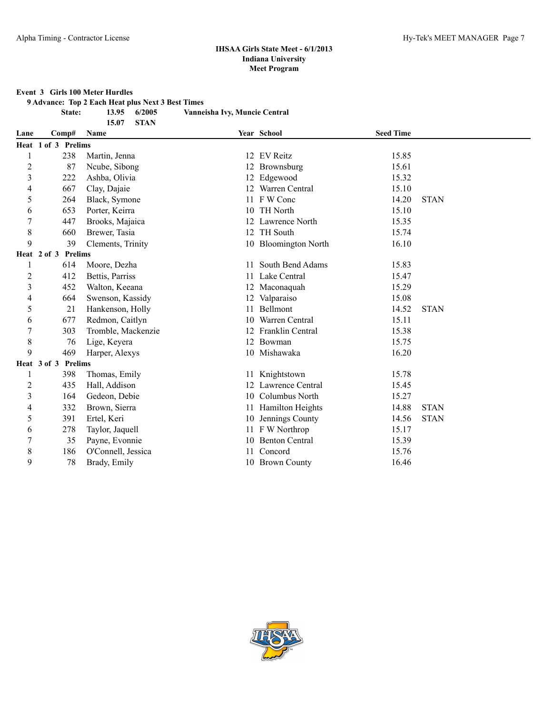#### **Event 3 Girls 100 Meter Hurdles**

**9 Advance: Top 2 Each Heat plus Next 3 Best Times**

**15.07 STAN**

**State: 13.95 6/2005 Vanneisha Ivy, Muncie Central**

| Lane           | Comp#                         | Name               |    | Year School           | <b>Seed Time</b> |             |
|----------------|-------------------------------|--------------------|----|-----------------------|------------------|-------------|
|                | Heat 1 of 3 Prelims           |                    |    |                       |                  |             |
|                | 238                           | Martin, Jenna      |    | 12 EV Reitz           | 15.85            |             |
| 2              | 87                            | Ncube, Sibong      |    | 12 Brownsburg         | 15.61            |             |
| 3              | 222                           | Ashba, Olivia      |    | 12 Edgewood           | 15.32            |             |
| 4              | 667                           | Clay, Dajaie       |    | 12 Warren Central     | 15.10            |             |
| 5              | 264                           | Black, Symone      |    | 11 F W Conc           | 14.20            | <b>STAN</b> |
| 6              | 653                           | Porter, Keirra     | 10 | <b>TH</b> North       | 15.10            |             |
| 7              | 447                           | Brooks, Majaica    | 12 | Lawrence North        | 15.35            |             |
| 8              | 660                           | Brewer, Tasia      |    | 12 TH South           | 15.74            |             |
| 9              | 39                            | Clements, Trinity  |    | 10 Bloomington North  | 16.10            |             |
|                | <b>Prelims</b><br>Heat 2 of 3 |                    |    |                       |                  |             |
| 1              | 614                           | Moore, Dezha       |    | South Bend Adams      | 15.83            |             |
| $\overline{c}$ | 412                           | Bettis, Parriss    | 11 | Lake Central          | 15.47            |             |
| 3              | 452                           | Walton, Keeana     |    | 12 Maconaquah         | 15.29            |             |
| 4              | 664                           | Swenson, Kassidy   |    | 12 Valparaiso         | 15.08            |             |
| 5              | 21                            | Hankenson, Holly   |    | 11 Bellmont           | 14.52            | <b>STAN</b> |
| 6              | 677                           | Redmon, Caitlyn    | 10 | Warren Central        | 15.11            |             |
| 7              | 303                           | Tromble, Mackenzie |    | 12 Franklin Central   | 15.38            |             |
| 8              | 76                            | Lige, Keyera       |    | 12 Bowman             | 15.75            |             |
| 9              | 469                           | Harper, Alexys     |    | 10 Mishawaka          | 16.20            |             |
|                | Heat 3 of 3<br><b>Prelims</b> |                    |    |                       |                  |             |
| <sup>1</sup>   | 398                           | Thomas, Emily      |    | 11 Knightstown        | 15.78            |             |
| 2              | 435                           | Hall, Addison      | 12 | Lawrence Central      | 15.45            |             |
| 3              | 164                           | Gedeon, Debie      | 10 | Columbus North        | 15.27            |             |
| 4              | 332                           | Brown, Sierra      | 11 | Hamilton Heights      | 14.88            | <b>STAN</b> |
| 5              | 391                           | Ertel, Keri        | 10 | Jennings County       | 14.56            | <b>STAN</b> |
| 6              | 278                           | Taylor, Jaquell    |    | 11 F W Northrop       | 15.17            |             |
|                | 35                            | Payne, Evonnie     | 10 | <b>Benton Central</b> | 15.39            |             |
| 8              | 186                           | O'Connell, Jessica |    | Concord               | 15.76            |             |
| 9              | 78                            | Brady, Emily       |    | 10 Brown County       | 16.46            |             |

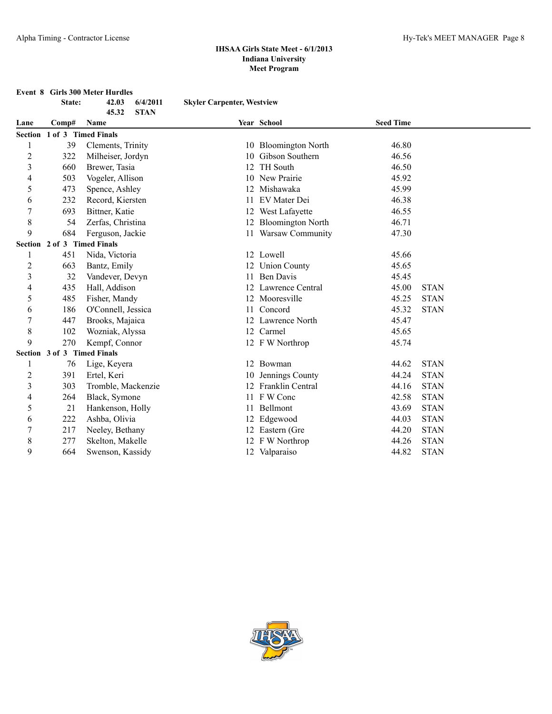**Event 8 Girls 300 Meter Hurdles 45.32 STAN**

**State: 42.03 6/4/2011 Skyler Carpenter, Westview**

|                |                             | 49.94<br><b>DIAIV</b> |    |                          |                  |             |
|----------------|-----------------------------|-----------------------|----|--------------------------|------------------|-------------|
| Lane           | Comp#                       | Name                  |    | Year School              | <b>Seed Time</b> |             |
|                | Section 1 of 3 Timed Finals |                       |    |                          |                  |             |
|                | 39                          | Clements, Trinity     |    | 10 Bloomington North     | 46.80            |             |
| $\overline{c}$ | 322                         | Milheiser, Jordyn     | 10 | Gibson Southern          | 46.56            |             |
| 3              | 660                         | Brewer, Tasia         | 12 | <b>TH</b> South          | 46.50            |             |
| 4              | 503                         | Vogeler, Allison      |    | New Prairie              | 45.92            |             |
| 5              | 473                         | Spence, Ashley        |    | Mishawaka                | 45.99            |             |
| 6              | 232                         | Record, Kiersten      |    | EV Mater Dei             | 46.38            |             |
|                | 693                         | Bittner, Katie        |    | West Lafayette           | 46.55            |             |
| 8              | 54                          | Zerfas, Christina     | 12 | <b>Bloomington North</b> | 46.71            |             |
| 9              | 684                         | Ferguson, Jackie      |    | 11 Warsaw Community      | 47.30            |             |
|                | Section 2 of 3 Timed Finals |                       |    |                          |                  |             |
|                | 451                         | Nida, Victoria        |    | 12 Lowell                | 45.66            |             |
| 2              | 663                         | Bantz, Emily          |    | <b>Union County</b>      | 45.65            |             |
| 3              | 32                          | Vandever, Devyn       | 11 | <b>Ben Davis</b>         | 45.45            |             |
| 4              | 435                         | Hall, Addison         | 12 | Lawrence Central         | 45.00            | <b>STAN</b> |
| 5              | 485                         | Fisher, Mandy         | 12 | Mooresville              | 45.25            | <b>STAN</b> |
| 6              | 186                         | O'Connell, Jessica    | 11 | Concord                  | 45.32            | <b>STAN</b> |
| 7              | 447                         | Brooks, Majaica       |    | 12 Lawrence North        | 45.47            |             |
| 8              | 102                         | Wozniak, Alyssa       |    | 12 Carmel                | 45.65            |             |
| 9              | 270                         | Kempf, Connor         |    | 12 F W Northrop          | 45.74            |             |
|                | Section 3 of 3 Timed Finals |                       |    |                          |                  |             |
|                | 76                          | Lige, Keyera          |    | 12 Bowman                | 44.62            | <b>STAN</b> |
| 2              | 391                         | Ertel, Keri           | 10 | Jennings County          | 44.24            | <b>STAN</b> |
| 3              | 303                         | Tromble, Mackenzie    |    | Franklin Central         | 44.16            | <b>STAN</b> |
| 4              | 264                         | Black, Symone         |    | 11 FW Conc               | 42.58            | <b>STAN</b> |
| 5              | 21                          | Hankenson, Holly      | 11 | Bellmont                 | 43.69            | <b>STAN</b> |
| 6              | 222                         | Ashba, Olivia         |    | Edgewood                 | 44.03            | <b>STAN</b> |
|                | 217                         | Neeley, Bethany       |    | 12 Eastern (Gre          | 44.20            | <b>STAN</b> |
| 8              | 277                         | Skelton, Makelle      |    | 12 F W Northrop          | 44.26            | <b>STAN</b> |
| 9              | 664                         | Swenson, Kassidy      |    | 12 Valparaiso            | 44.82            | <b>STAN</b> |

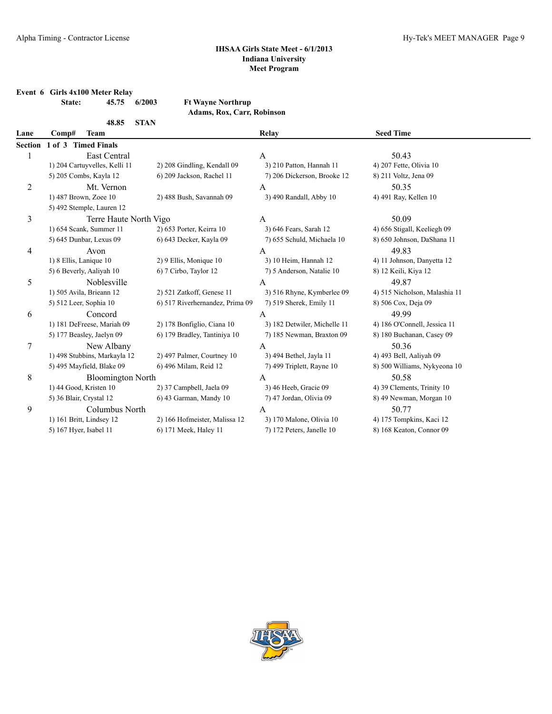**Event 6 Girls 4x100 Meter Relay State: 45.75 6/2003** 

| <b>Ft Wayne Northrup</b> |                                   |
|--------------------------|-----------------------------------|
|                          | <b>Adams, Rox, Carr, Robinson</b> |

|                  | <b>STAN</b><br>48.85          |                                 |                              |                               |  |  |  |  |
|------------------|-------------------------------|---------------------------------|------------------------------|-------------------------------|--|--|--|--|
| Lane             | <b>Team</b><br>Comp#          |                                 | Relay                        | <b>Seed Time</b>              |  |  |  |  |
| <b>Section</b>   | 1 of 3 Timed Finals           |                                 |                              |                               |  |  |  |  |
|                  | <b>East Central</b>           |                                 | A                            | 50.43                         |  |  |  |  |
|                  | 1) 204 Cartuyvelles, Kelli 11 | 2) 208 Gindling, Kendall 09     | 3) 210 Patton, Hannah 11     | 4) 207 Fette, Olivia 10       |  |  |  |  |
|                  | 5) 205 Combs, Kayla 12        | 6) 209 Jackson, Rachel 11       | 7) 206 Dickerson, Brooke 12  | 8) 211 Voltz, Jena 09         |  |  |  |  |
| $\overline{c}$   | Mt. Vernon                    |                                 | A                            | 50.35                         |  |  |  |  |
|                  | 1) 487 Brown, Zoee 10         | 2) 488 Bush, Savannah 09        | 3) 490 Randall, Abby 10      | 4) 491 Ray, Kellen 10         |  |  |  |  |
|                  | 5) 492 Stemple, Lauren 12     |                                 |                              |                               |  |  |  |  |
| 3                | Terre Haute North Vigo        |                                 | A                            | 50.09                         |  |  |  |  |
|                  | 1) 654 Scank, Summer 11       | 2) 653 Porter, Keirra 10        | 3) 646 Fears, Sarah 12       | 4) 656 Stigall, Keeliegh 09   |  |  |  |  |
|                  | 5) 645 Dunbar, Lexus 09       | 6) 643 Decker, Kayla 09         | 7) 655 Schuld, Michaela 10   | 8) 650 Johnson, DaShana 11    |  |  |  |  |
| 4                | Avon                          |                                 | A                            | 49.83                         |  |  |  |  |
|                  | 1) 8 Ellis, Lanique 10        | 2) 9 Ellis, Monique 10          | 3) 10 Heim, Hannah 12        | 4) 11 Johnson, Danyetta 12    |  |  |  |  |
|                  | 5) 6 Beverly, Aaliyah 10      | 6) 7 Cirbo, Taylor 12           | 7) 5 Anderson, Natalie 10    | 8) 12 Keili, Kiya 12          |  |  |  |  |
| 5                | Noblesville                   |                                 | A                            | 49.87                         |  |  |  |  |
|                  | 1) 505 Avila, Brieann 12      | 2) 521 Zatkoff, Genese 11       | 3) 516 Rhyne, Kymberlee 09   | 4) 515 Nicholson, Malashia 11 |  |  |  |  |
|                  | 5) 512 Leer, Sophia 10        | 6) 517 Riverhernandez, Prima 09 | 7) 519 Sherek, Emily 11      | 8) 506 Cox, Deja 09           |  |  |  |  |
| 6                | Concord                       |                                 | A                            | 49.99                         |  |  |  |  |
|                  | 1) 181 DeFreese, Mariah 09    | 2) 178 Bonfiglio, Ciana 10      | 3) 182 Detwiler, Michelle 11 | 4) 186 O'Connell, Jessica 11  |  |  |  |  |
|                  | 5) 177 Beasley, Jaelyn 09     | 6) 179 Bradley, Tantiniya 10    | 7) 185 Newman, Braxton 09    | 8) 180 Buchanan, Casey 09     |  |  |  |  |
| $\boldsymbol{7}$ | New Albany                    |                                 | $\mathbf{A}$                 | 50.36                         |  |  |  |  |
|                  | 1) 498 Stubbins, Markayla 12  | 2) 497 Palmer, Courtney 10      | 3) 494 Bethel, Jayla 11      | 4) 493 Bell, Aaliyah 09       |  |  |  |  |
|                  | 5) 495 Mayfield, Blake 09     | 6) 496 Milam, Reid 12           | 7) 499 Triplett, Rayne 10    | 8) 500 Williams, Nykyeona 10  |  |  |  |  |
| 8                | <b>Bloomington North</b>      |                                 | A                            | 50.58                         |  |  |  |  |
|                  | 1) 44 Good, Kristen 10        | 2) 37 Campbell, Jaela 09        | 3) 46 Heeb, Gracie 09        | 4) 39 Clements, Trinity 10    |  |  |  |  |
|                  | 5) 36 Blair, Crystal 12       | 6) 43 Garman, Mandy 10          | 7) 47 Jordan, Olivia 09      | 8) 49 Newman, Morgan 10       |  |  |  |  |
| 9                | Columbus North                |                                 | A                            | 50.77                         |  |  |  |  |
|                  | 1) 161 Britt, Lindsey 12      | 2) 166 Hofmeister, Malissa 12   | 3) 170 Malone, Olivia 10     | 4) 175 Tompkins, Kaci 12      |  |  |  |  |
|                  | 5) 167 Hyer, Isabel 11        | 6) 171 Meek, Haley 11           | 7) 172 Peters, Janelle 10    | 8) 168 Keaton, Connor 09      |  |  |  |  |
|                  |                               |                                 |                              |                               |  |  |  |  |

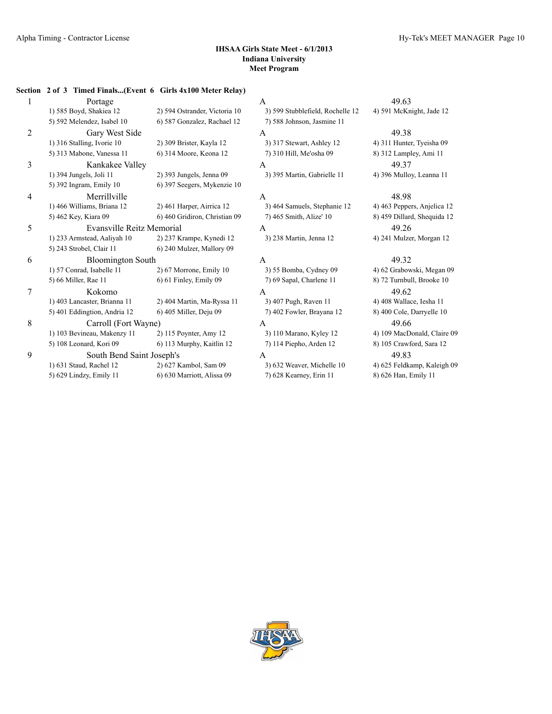#### **Section 2 of 3 Timed Finals...(Event 6 Girls 4x100 Meter Relay)**

| 1              | Portage                      |                               | A                                | 49.63                       |
|----------------|------------------------------|-------------------------------|----------------------------------|-----------------------------|
|                | 1) 585 Boyd, Shakiea 12      | 2) 594 Ostrander, Victoria 10 | 3) 599 Stubblefield, Rochelle 12 | 4) 591 McKnight, Jade 12    |
|                | 5) 592 Melendez, Isabel 10   | 6) 587 Gonzalez, Rachael 12   | 7) 588 Johnson, Jasmine 11       |                             |
| $\overline{2}$ | Gary West Side               |                               | A                                | 49.38                       |
|                | 1) 316 Stalling, Ivorie 10   | 2) 309 Brister, Kayla 12      | 3) 317 Stewart, Ashley 12        | 4) 311 Hunter, Tyeisha 09   |
|                | 5) 313 Mabone, Vanessa 11    | 6) 314 Moore, Keona 12        | 7) 310 Hill, Me'osha 09          | 8) 312 Lampley, Ami 11      |
| 3              | Kankakee Valley              |                               | A                                | 49.37                       |
|                | 1) 394 Jungels, Joli 11      | 2) 393 Jungels, Jenna 09      | 3) 395 Martin, Gabrielle 11      | 4) 396 Mulloy, Leanna 11    |
|                | 5) 392 Ingram, Emily 10      | 6) 397 Seegers, Mykenzie 10   |                                  |                             |
| 4              | Merrillville                 |                               | A                                | 48.98                       |
|                | 1) 466 Williams, Briana 12   | 2) 461 Harper, Airrica 12     | 3) 464 Samuels, Stephanie 12     | 4) 463 Peppers, Anjelica 12 |
|                | 5) 462 Key, Kiara 09         | 6) 460 Gridiron, Christian 09 | 7) 465 Smith, Alize' 10          | 8) 459 Dillard, Shequida 12 |
| 5              | Evansville Reitz Memorial    |                               | A                                | 49.26                       |
|                | 1) 233 Armstead, Aaliyah 10  | 2) 237 Krampe, Kynedi 12      | 3) 238 Martin, Jenna 12          | 4) 241 Mulzer, Morgan 12    |
|                | 5) 243 Strobel, Clair 11     | 6) 240 Mulzer, Mallory 09     |                                  |                             |
| 6              | <b>Bloomington South</b>     |                               | A                                | 49.32                       |
|                | 1) 57 Conrad, Isabelle 11    | 2) 67 Morrone, Emily 10       | 3) 55 Bomba, Cydney 09           | 4) 62 Grabowski, Megan 09   |
|                | 5) 66 Miller, Rae 11         | 6) 61 Finley, Emily 09        | 7) 69 Sapal, Charlene 11         | 8) 72 Turnbull, Brooke 10   |
| 7              | Kokomo                       |                               | A                                | 49.62                       |
|                | 1) 403 Lancaster, Brianna 11 | 2) 404 Martin, Ma-Ryssa 11    | 3) 407 Pugh, Raven 11            | 4) 408 Wallace, Iesha 11    |
|                | 5) 401 Eddingtion, Andria 12 | 6) 405 Miller, Deju 09        | 7) 402 Fowler, Brayana 12        | 8) 400 Cole, Darryelle 10   |
| 8              | Carroll (Fort Wayne)         |                               | A                                | 49.66                       |
|                | 1) 103 Bevineau, Makenzy 11  | 2) 115 Poynter, Amy 12        | 3) 110 Marano, Kyley 12          | 4) 109 MacDonald, Claire 09 |
|                | 5) 108 Leonard, Kori 09      | 6) 113 Murphy, Kaitlin 12     | 7) 114 Piepho, Arden 12          | 8) 105 Crawford, Sara 12    |
| 9              | South Bend Saint Joseph's    |                               | A                                | 49.83                       |
|                | 1) 631 Staud, Rachel 12      | 2) 627 Kambol, Sam 09         | 3) 632 Weaver, Michelle 10       | 4) 625 Feldkamp, Kaleigh 09 |
|                | 5) 629 Lindzy, Emily 11      | 6) 630 Marriott, Alissa 09    | 7) 628 Kearney, Erin 11          | 8) 626 Han, Emily 11        |
|                |                              |                               |                                  |                             |

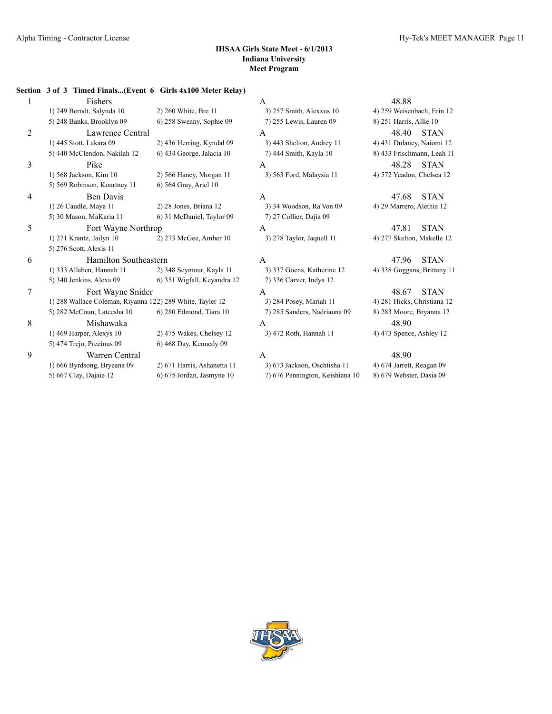#### **Section 3 of 3 Timed Finals...(Event 6 Girls 4x100 Meter Relay)**

| 1              | Fishers                                                   |                             | A                               | 48.88                       |
|----------------|-----------------------------------------------------------|-----------------------------|---------------------------------|-----------------------------|
|                | 1) 249 Berndt, Salynda 10                                 | 2) 260 White, Bre 11        | 3) 257 Smith, Alexxus 10        | 4) 259 Weisenbach, Erin 12  |
|                | 5) 248 Banks, Brooklyn 09                                 | 6) 258 Sweany, Sophie 09    | 7) 255 Lewis, Lauren 09         | 8) 251 Harris, Allie 10     |
| $\overline{2}$ | Lawrence Central                                          |                             | A                               | 48.40<br><b>STAN</b>        |
|                | 1) 445 Stott, Lakara 09                                   | 2) 436 Herring, Kyndal 09   | 3) 443 Shelton, Audrey 11       | 4) 431 Dulaney, Naiomi 12   |
|                | 5) 440 McClendon, Nakilah 12                              | 6) 434 George, Jalacia 10   | 7) 444 Smith, Kayla 10          | 8) 433 Frischmann, Leah 11  |
| 3              | Pike                                                      |                             | A                               | 48.28<br><b>STAN</b>        |
|                | 1) 568 Jackson, Kim 10                                    | 2) 566 Haney, Morgan 11     | 3) 563 Ford, Malaysia 11        | 4) 572 Yeadon, Chelsea 12   |
|                | 5) 569 Robinson, Kourtney 11                              | 6) 564 Gray, Ariel 10       |                                 |                             |
| 4              | <b>Ben Davis</b>                                          |                             | A                               | <b>STAN</b><br>47.68        |
|                | 1) 26 Caudle, Maya 11                                     | 2) 28 Jones, Briana 12      | 3) 34 Woodson, Ra'Von 09        | 4) 29 Marrero, Alethia 12   |
|                | 5) 30 Mason, MaKaria 11                                   | 6) 31 McDaniel, Taylor 09   | 7) 27 Collier, Dajia 09         |                             |
| 5              | Fort Wayne Northrop                                       |                             | A                               | <b>STAN</b><br>47.81        |
|                | 1) 271 Krantz, Jailyn 10                                  | 2) 273 McGee, Amber 10      | 3) 278 Taylor, Jaquell 11       | 4) 277 Skelton, Makelle 12  |
|                | 5) 276 Scott, Alexis 11                                   |                             |                                 |                             |
| 6              | <b>Hamilton Southeastern</b>                              |                             | A                               | <b>STAN</b><br>47.96        |
|                | 1) 333 Allaben, Hannah 11                                 | 2) 348 Seymour, Kayla 11    | 3) 337 Goens, Katherine 12      | 4) 338 Goggans, Brittany 11 |
|                | 5) 340 Jenkins, Alexa 09                                  | 6) 351 Wigfall, Keyandra 12 | 7) 336 Carver, Indya 12         |                             |
| 7              | Fort Wayne Snider                                         |                             | A                               | 48.67<br><b>STAN</b>        |
|                | 1) 288 Wallace Coleman, Riyanna 122) 289 White, Tayler 12 |                             | 3) 284 Posey, Mariah 11         | 4) 281 Hicks, Christiana 12 |
|                | 5) 282 McCoun, Lateesha 10                                | 6) 280 Edmond, Tiara 10     | 7) 285 Sanders, Nadriauna 09    | 8) 283 Moore, Bryanna 12    |
| 8              | Mishawaka                                                 |                             | A                               | 48.90                       |
|                | 1) 469 Harper, Alexys 10                                  | 2) 475 Wakes, Chelsey 12    | 3) 472 Roth, Hannah 11          | 4) 473 Spence, Ashley 12    |
|                | 5) 474 Trejo, Precious 09                                 | 6) 468 Day, Kennedy 09      |                                 |                             |
| 9              | Warren Central                                            |                             | A                               | 48.90                       |
|                | 1) 666 Byrdsong, Bryeana 09                               | 2) 671 Harris, Ashanetta 11 | 3) 673 Jackson, Oschtisha 11    | 4) 674 Jarrett, Reagan 09   |
|                | 5) 667 Clay, Dajaie 12                                    | 6) 675 Jordan, Jasmyne 10   | 7) 676 Pennington, Keishiana 10 | 8) 679 Webster, Dasia 09    |
|                |                                                           |                             |                                 |                             |

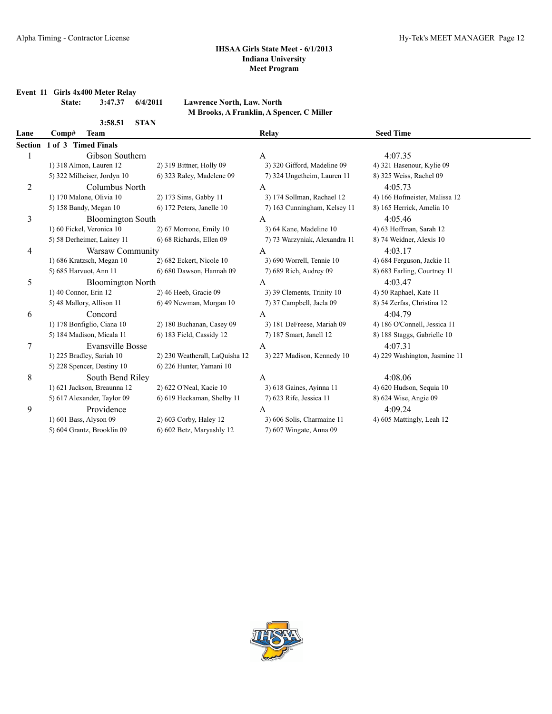**Event 11 Girls 4x400 Meter Relay**

| e: | 3:47.37 | 6/4/2 |
|----|---------|-------|
|    |         |       |

# **State: 3:47.37 6/4/2011 Lawrence North, Law. North**

| 3:58.51 | <b>STAN</b> |
|---------|-------------|
|         |             |

| Lawrence North, Law. North                |  |  |  |  |  |
|-------------------------------------------|--|--|--|--|--|
| M Brooks, A Franklin, A Spencer, C Miller |  |  |  |  |  |

| Lane    | <b>Team</b><br>Comp#        |                                | Relay                         | <b>Seed Time</b>              |  |
|---------|-----------------------------|--------------------------------|-------------------------------|-------------------------------|--|
| Section | 1 of 3 Timed Finals         |                                |                               |                               |  |
|         | Gibson Southern             |                                | A                             | 4:07.35                       |  |
|         | 1) 318 Almon, Lauren 12     | 2) 319 Bittner, Holly 09       | 3) 320 Gifford, Madeline 09   | 4) 321 Hasenour, Kylie 09     |  |
|         | 5) 322 Milheiser, Jordyn 10 | 6) 323 Raley, Madelene 09      | 7) 324 Ungetheim, Lauren 11   | 8) 325 Weiss, Rachel 09       |  |
| 2       | Columbus North              |                                | A                             | 4:05.73                       |  |
|         | 1) 170 Malone, Olivia 10    | 2) 173 Sims, Gabby 11          | 3) 174 Sollman, Rachael 12    | 4) 166 Hofmeister, Malissa 12 |  |
|         | 5) 158 Bandy, Megan 10      | 6) 172 Peters, Janelle 10      | 7) 163 Cunningham, Kelsey 11  | 8) 165 Herrick, Amelia 10     |  |
| 3       | <b>Bloomington South</b>    |                                | A                             | 4:05.46                       |  |
|         | 1) 60 Fickel, Veronica 10   | 2) 67 Morrone, Emily 10        | 3) 64 Kane, Madeline 10       | 4) 63 Hoffman, Sarah 12       |  |
|         | 5) 58 Derheimer, Lainey 11  | 6) 68 Richards, Ellen 09       | 7) 73 Warzyniak, Alexandra 11 | 8) 74 Weidner, Alexis 10      |  |
| 4       | Warsaw Community            |                                | A                             | 4:03.17                       |  |
|         | 1) 686 Kratzsch, Megan 10   | 2) 682 Eckert, Nicole 10       | 3) 690 Worrell, Tennie 10     | 4) 684 Ferguson, Jackie 11    |  |
|         | 5) 685 Harvuot, Ann 11      | 6) 680 Dawson, Hannah 09       | 7) 689 Rich, Audrey 09        | 8) 683 Farling, Courtney 11   |  |
| 5       | <b>Bloomington North</b>    |                                | A                             | 4:03.47                       |  |
|         | 1) 40 Connor, Erin 12       | 2) 46 Heeb, Gracie 09          | 3) 39 Clements, Trinity 10    | 4) 50 Raphael, Kate 11        |  |
|         | 5) 48 Mallory, Allison 11   | 6) 49 Newman, Morgan 10        | 7) 37 Campbell, Jaela 09      | 8) 54 Zerfas, Christina 12    |  |
| 6       | Concord                     |                                | A                             | 4:04.79                       |  |
|         | 1) 178 Bonfiglio, Ciana 10  | 2) 180 Buchanan, Casey 09      | 3) 181 DeFreese, Mariah 09    | 4) 186 O'Connell, Jessica 11  |  |
|         | 5) 184 Madison, Micala 11   | 6) 183 Field, Cassidy 12       | 7) 187 Smart, Janell 12       | 8) 188 Staggs, Gabrielle 10   |  |
| $\tau$  | <b>Evansville Bosse</b>     |                                | A                             | 4:07.31                       |  |
|         | 1) 225 Bradley, Sariah 10   | 2) 230 Weatherall, LaQuisha 12 | 3) 227 Madison, Kennedy 10    | 4) 229 Washington, Jasmine 11 |  |
|         | 5) 228 Spencer, Destiny 10  | 6) 226 Hunter, Yamani 10       |                               |                               |  |
| 8       | South Bend Riley            |                                | A                             | 4:08.06                       |  |
|         | 1) 621 Jackson, Breaunna 12 | 2) 622 O'Neal, Kacie 10        | 3) 618 Gaines, Ayinna 11      | 4) 620 Hudson, Sequia 10      |  |
|         | 5) 617 Alexander, Taylor 09 | 6) 619 Heckaman, Shelby 11     | 7) 623 Rife, Jessica 11       | 8) 624 Wise, Angie 09         |  |
| 9       | Providence                  |                                | A                             | 4:09.24                       |  |
|         | 1) 601 Bass, Alyson 09      | 2) 603 Corby, Haley 12         | 3) 606 Solis, Charmaine 11    | 4) 605 Mattingly, Leah 12     |  |
|         | 5) 604 Grantz, Brooklin 09  | 6) 602 Betz, Maryashly 12      | 7) 607 Wingate, Anna 09       |                               |  |

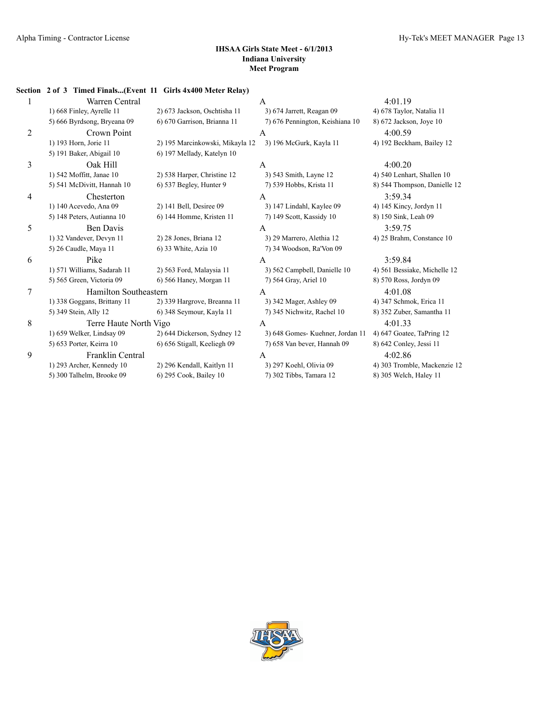**Section 2 of 3 Timed Finals...(Event 11 Girls 4x400 Meter Relay)**

|   | Warren Central              |                                 | A                               | 4:01.19                      |
|---|-----------------------------|---------------------------------|---------------------------------|------------------------------|
|   | 1) 668 Finley, Ayrelle 11   | 2) 673 Jackson, Oschtisha 11    | 3) 674 Jarrett, Reagan 09       | 4) 678 Taylor, Natalia 11    |
|   | 5) 666 Byrdsong, Bryeana 09 | 6) 670 Garrison, Brianna 11     | 7) 676 Pennington, Keishiana 10 | 8) 672 Jackson, Joye 10      |
| 2 | Crown Point                 |                                 | A                               | 4:00.59                      |
|   | 1) 193 Horn, Jorie 11       | 2) 195 Marcinkowski, Mikayla 12 | 3) 196 McGurk, Kayla 11         | 4) 192 Beckham, Bailey 12    |
|   | 5) 191 Baker, Abigail 10    | 6) 197 Mellady, Katelyn 10      |                                 |                              |
| 3 | Oak Hill                    |                                 | A                               | 4:00.20                      |
|   | 1) 542 Moffitt, Janae 10    | 2) 538 Harper, Christine 12     | 3) 543 Smith, Layne 12          | 4) 540 Lenhart, Shallen 10   |
|   | 5) 541 McDivitt, Hannah 10  | 6) 537 Begley, Hunter 9         | 7) 539 Hobbs, Krista 11         | 8) 544 Thompson, Danielle 12 |
| 4 | Chesterton                  |                                 | A                               | 3:59.34                      |
|   | 1) 140 Acevedo, Ana 09      | 2) 141 Bell, Desiree 09         | 3) 147 Lindahl, Kaylee 09       | 4) 145 Kincy, Jordyn 11      |
|   | 5) 148 Peters, Autianna 10  | 6) 144 Homme, Kristen 11        | 7) 149 Scott, Kassidy 10        | 8) 150 Sink, Leah 09         |
| 5 | <b>Ben Davis</b>            |                                 | A                               | 3:59.75                      |
|   | 1) 32 Vandever, Devyn 11    | 2) 28 Jones, Briana 12          | 3) 29 Marrero, Alethia 12       | 4) 25 Brahm, Constance 10    |
|   | 5) 26 Caudle, Maya 11       | 6) 33 White, Azia 10            | 7) 34 Woodson, Ra'Von 09        |                              |
| 6 | Pike                        |                                 | A                               | 3:59.84                      |
|   | 1) 571 Williams, Sadarah 11 | 2) 563 Ford, Malaysia 11        | 3) 562 Campbell, Danielle 10    | 4) 561 Bessiake, Michelle 12 |
|   | 5) 565 Green, Victoria 09   | 6) 566 Haney, Morgan 11         | 7) 564 Gray, Ariel 10           | 8) 570 Ross, Jordyn 09       |
| 7 | Hamilton Southeastern       |                                 | A                               | 4:01.08                      |
|   | 1) 338 Goggans, Brittany 11 | 2) 339 Hargrove, Breanna 11     | 3) 342 Mager, Ashley 09         | 4) 347 Schmok, Erica 11      |
|   | 5) 349 Stein, Ally 12       | 6) 348 Seymour, Kayla 11        | 7) 345 Nichwitz, Rachel 10      | 8) 352 Zuber, Samantha 11    |
| 8 | Terre Haute North Vigo      |                                 | A                               | 4:01.33                      |
|   | 1) 659 Welker, Lindsay 09   | 2) 644 Dickerson, Sydney 12     | 3) 648 Gomes-Kuehner, Jordan 11 | 4) 647 Goatee, TaPring 12    |
|   | 5) 653 Porter, Keirra 10    | 6) 656 Stigall, Keeliegh 09     | 7) 658 Van bever, Hannah 09     | 8) 642 Conley, Jessi 11      |
| 9 | <b>Franklin Central</b>     |                                 | A                               | 4:02.86                      |
|   | 1) 293 Archer, Kennedy 10   | 2) 296 Kendall, Kaitlyn 11      | 3) 297 Koehl, Olivia 09         | 4) 303 Tromble, Mackenzie 12 |
|   | 5) 300 Talhelm, Brooke 09   | 6) 295 Cook, Bailey 10          | 7) 302 Tibbs, Tamara 12         | 8) 305 Welch, Haley 11       |
|   |                             |                                 |                                 |                              |

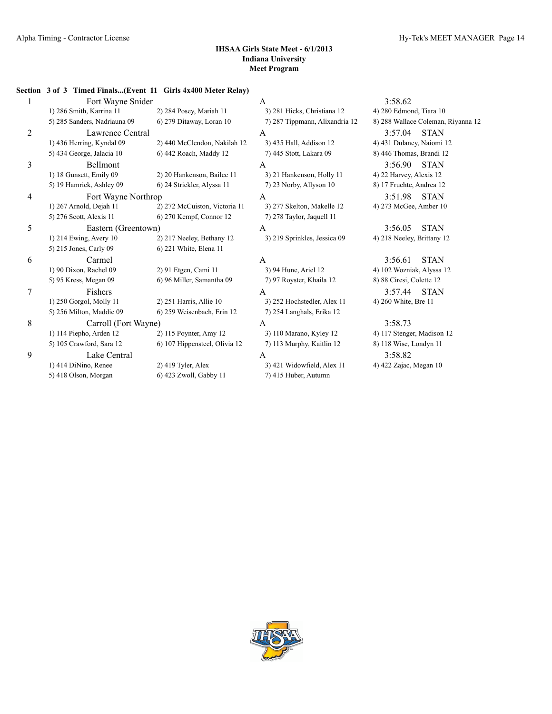# **Section 3 of 3 Timed Finals...(Event 11 Girls 4x400 Meter Relay)** 1 Fort Wayne Snider A 3:58.62 1) 286 Smith, Karrina 11 2) 284 Posey, Mariah 11 3) 281 Hicks, Christiana 12 4) 280 Edmond, Tiara 10 5) 285 Sanders, Nadriauna 09 6) 279 Ditaway, Loran 10 7) 287 Tippmann, Alixandria 12 8) 288 Wallace Coleman, Riyanna 12 2 Lawrence Central A 3:57.04 STAN 1) 436 Herring, Kyndal 09 2) 440 McClendon, Nakilah 12 3) 435 Hall, Addison 12 4) 431 Dulaney, Naiomi 12 5) 434 George, Jalacia 10 6) 442 Roach, Maddy 12 7) 445 Stott, Lakara 09 8) 446 Thomas, Brandi 12 3 Bellmont A 3:56.90 STAN 1) 18 Gunsett, Emily 09 2) 20 Hankenson, Bailee 11 3) 21 Hankenson, Holly 11 4) 22 Harvey, Alexis 12 5) 19 Hamrick, Ashley 09 6) 24 Strickler, Alyssa 11 7) 23 Norby, Allyson 10 8) 17 Fruchte, Andrea 12 4 Fort Wayne Northrop A 3:51.98 STAN 1) 267 Arnold, Dejah 11 2) 272 McCuiston, Victoria 11 3) 277 Skelton, Makelle 12 4) 273 McGee, Amber 10 5) 276 Scott, Alexis 11 6) 270 Kempf, Connor 12 7) 278 Taylor, Jaquell 11 5 Eastern (Greentown) A 3:56.05 STAN 1) 214 Ewing, Avery 10 2) 217 Neeley, Bethany 12 3) 219 Sprinkles, Jessica 09 4) 218 Neeley, Brittany 12 5) 215 Jones, Carly 09 6) 221 White, Elena 11 6 Carmel A 3:56.61 STAN 1) 90 Dixon, Rachel 09 2) 91 Etgen, Cami 11 3) 94 Hune, Ariel 12 4) 102 Wozniak, Alyssa 12 5) 95 Kress, Megan 09 6) 96 Miller, Samantha 09 7) 97 Royster, Khaila 12 8) 88 Ciresi, Colette 12 7 Fishers A 3:57.44 STAN 1) 250 Gorgol, Molly 11 2) 251 Harris, Allie 10 3) 252 Hochstedler, Alex 11 4) 260 White, Bre 11 5) 256 Milton, Maddie 09 6) 259 Weisenbach, Erin 12 7) 254 Langhals, Erika 12 8 Carroll (Fort Wayne) A 3:58.73 1) 114 Piepho, Arden 12 2) 115 Poynter, Amy 12 3) 110 Marano, Kyley 12 4) 117 Stenger, Madison 12 5) 105 Crawford, Sara 12 6) 107 Hippensteel, Olivia 12 7) 113 Murphy, Kaitlin 12 8) 118 Wise, Londyn 11 9 Lake Central A 3:58.82 1) 414 DiNino, Renee 2) 419 Tyler, Alex 3) 421 Widowfield, Alex 11 4) 422 Zajac, Megan 10 5) 418 Olson, Morgan 6) 423 Zwoll, Gabby 11 7) 415 Huber, Autumn

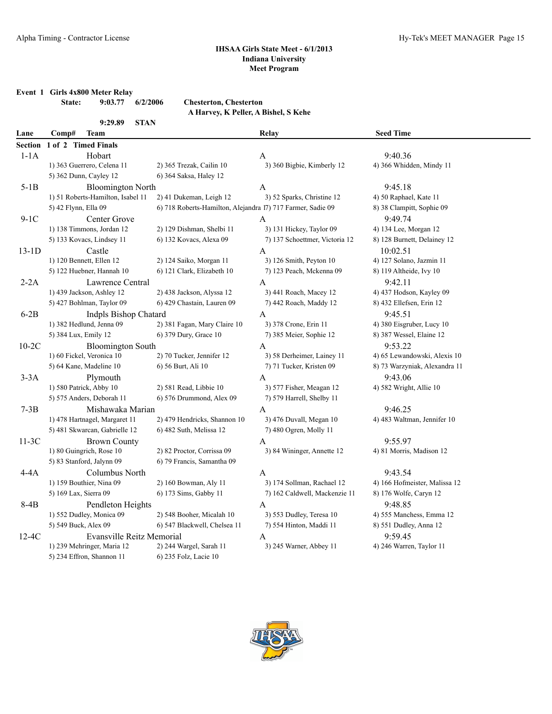**Event 1 Girls 4x800 Meter Relay**

|               | $\cdots$ |                    |                               |  |
|---------------|----------|--------------------|-------------------------------|--|
| <b>State:</b> |          | $9:03.77$ 6/2/2006 | <b>Chesterton, Chesterton</b> |  |
|               |          |                    |                               |  |

| 9:29.89 | STAN |
|---------|------|
|         |      |

| A Harvey, K Peller, A Bishel, S Kehe |  |  |  |
|--------------------------------------|--|--|--|
|                                      |  |  |  |

| Lane    | Comp#<br><b>Team</b>              |                                                             | Relay                          | <b>Seed Time</b>              |
|---------|-----------------------------------|-------------------------------------------------------------|--------------------------------|-------------------------------|
| Section | 1 of 2 Timed Finals               |                                                             |                                |                               |
| $1-1A$  | Hobart                            |                                                             | A                              | 9:40.36                       |
|         | 1) 363 Guerrero, Celena 11        | 2) 365 Trezak, Cailin 10                                    | 3) 360 Bigbie, Kimberly 12     | 4) 366 Whidden, Mindy 11      |
|         | 5) 362 Dunn, Cayley 12            | 6) 364 Saksa, Haley 12                                      |                                |                               |
| $5-1B$  | <b>Bloomington North</b>          |                                                             | A                              | 9:45.18                       |
|         | 1) 51 Roberts-Hamilton, Isabel 11 | 2) 41 Dukeman, Leigh 12                                     | 3) 52 Sparks, Christine 12     | 4) 50 Raphael, Kate 11        |
|         | 5) 42 Flynn, Ella 09              | 6) 718 Roberts-Hamilton, Alejandra 17) 717 Farmer, Sadie 09 |                                | 8) 38 Clampitt, Sophie 09     |
| $9-1C$  | Center Grove                      |                                                             | $\mathbf{A}$                   | 9:49.74                       |
|         | 1) 138 Timmons, Jordan 12         | 2) 129 Dishman, Shelbi 11                                   | 3) 131 Hickey, Taylor 09       | 4) 134 Lee, Morgan 12         |
|         | 5) 133 Kovacs, Lindsey 11         | 6) 132 Kovacs, Alexa 09                                     | 7) 137 Schoettmer, Victoria 12 | 8) 128 Burnett, Delainey 12   |
| $13-1D$ | Castle                            |                                                             | A                              | 10:02.51                      |
|         | 1) 120 Bennett, Ellen 12          | 2) 124 Saiko, Morgan 11                                     | 3) 126 Smith, Peyton 10        | 4) 127 Solano, Jazmin 11      |
|         | 5) 122 Huebner, Hannah 10         | 6) 121 Clark, Elizabeth 10                                  | 7) 123 Peach, Mckenna 09       | 8) 119 Altheide, Ivy 10       |
| $2-2A$  | Lawrence Central                  |                                                             | $\mathbf{A}$                   | 9:42.11                       |
|         | 1) 439 Jackson, Ashley 12         | 2) 438 Jackson, Alyssa 12                                   | 3) 441 Roach, Macey 12         | 4) 437 Hodson, Kayley 09      |
|         | 5) 427 Bohlman, Taylor 09         | 6) 429 Chastain, Lauren 09                                  | 7) 442 Roach, Maddy 12         | 8) 432 Ellefsen, Erin 12      |
| $6-2B$  | <b>Indpls Bishop Chatard</b>      |                                                             | A                              | 9:45.51                       |
|         | 1) 382 Hedlund, Jenna 09          | 2) 381 Fagan, Mary Claire 10                                | 3) 378 Crone, Erin 11          | 4) 380 Eisgruber, Lucy 10     |
|         | 5) 384 Lux, Emily 12              | 6) 379 Dury, Grace 10                                       | 7) 385 Meier, Sophie 12        | 8) 387 Wessel, Elaine 12      |
| $10-2C$ | <b>Bloomington South</b>          |                                                             | A                              | 9:53.22                       |
|         | 1) 60 Fickel, Veronica 10         | 2) 70 Tucker, Jennifer 12                                   | 3) 58 Derheimer, Lainey 11     | 4) 65 Lewandowski, Alexis 10  |
|         | 5) 64 Kane, Madeline 10           | 6) 56 Burt, Ali 10                                          | 7) 71 Tucker, Kristen 09       | 8) 73 Warzyniak, Alexandra 11 |
| $3-3A$  | Plymouth                          |                                                             | A                              | 9:43.06                       |
|         | 1) 580 Patrick, Abby 10           | 2) 581 Read, Libbie 10                                      | 3) 577 Fisher, Meagan 12       | 4) 582 Wright, Allie 10       |
|         | 5) 575 Anders, Deborah 11         | 6) 576 Drummond, Alex 09                                    | 7) 579 Harrell, Shelby 11      |                               |
| $7-3B$  | Mishawaka Marian                  |                                                             | A                              | 9:46.25                       |
|         | 1) 478 Hartnagel, Margaret 11     | 2) 479 Hendricks, Shannon 10                                | 3) 476 Duvall, Megan 10        | 4) 483 Waltman, Jennifer 10   |
|         | 5) 481 Skwarcan, Gabrielle 12     | 6) 482 Suth, Melissa 12                                     | 7) 480 Ogren, Molly 11         |                               |
| $11-3C$ | <b>Brown County</b>               |                                                             | A                              | 9:55.97                       |
|         | 1) 80 Guingrich, Rose 10          | 2) 82 Proctor, Corrissa 09                                  | 3) 84 Wininger, Annette 12     | 4) 81 Morris, Madison 12      |
|         | 5) 83 Stanford, Jalynn 09         | 6) 79 Francis, Samantha 09                                  |                                |                               |
| 4-4A    | Columbus North                    |                                                             | A                              | 9:43.54                       |
|         | 1) 159 Bouthier, Nina 09          | 2) 160 Bowman, Aly 11                                       | 3) 174 Sollman, Rachael 12     | 4) 166 Hofmeister, Malissa 12 |
|         | 5) 169 Lax, Sierra 09             | 6) 173 Sims, Gabby 11                                       | 7) 162 Caldwell, Mackenzie 11  | 8) 176 Wolfe, Caryn 12        |
| $8-4B$  | Pendleton Heights                 |                                                             | A                              | 9:48.85                       |
|         | 1) 552 Dudley, Monica 09          | 2) 548 Booher, Micalah 10                                   | 3) 553 Dudley, Teresa 10       | 4) 555 Manchess, Emma 12      |
|         | 5) 549 Buck, Alex 09              | 6) 547 Blackwell, Chelsea 11                                | 7) 554 Hinton, Maddi 11        | 8) 551 Dudley, Anna 12        |
| $12-4C$ | <b>Evansville Reitz Memorial</b>  |                                                             | A                              | 9:59.45                       |
|         | 1) 239 Mehringer, Maria 12        | 2) 244 Wargel, Sarah 11                                     | 3) 245 Warner, Abbey 11        | 4) 246 Warren, Taylor 11      |
|         | 5) 234 Effron, Shannon 11         | 6) 235 Folz, Lacie 10                                       |                                |                               |
|         |                                   |                                                             |                                |                               |

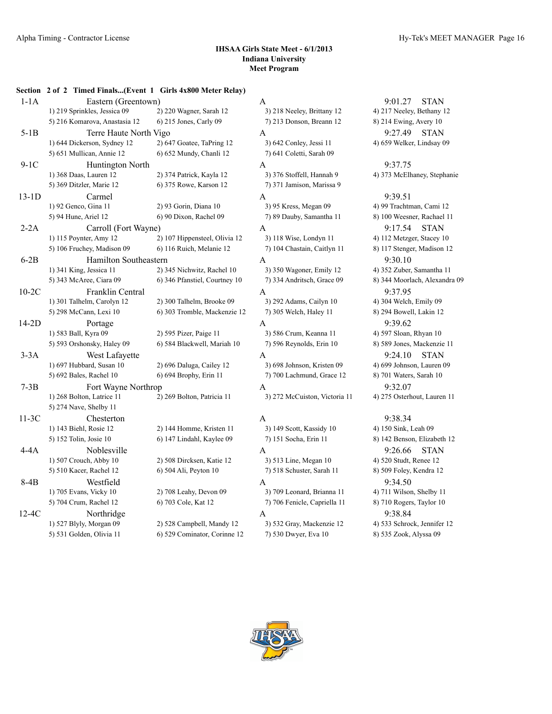|         | Section 2 of 2 Timed Finals(Event 1 Girls 4x800 Meter Relay) |                                                    |                                                    |                                                   |
|---------|--------------------------------------------------------------|----------------------------------------------------|----------------------------------------------------|---------------------------------------------------|
| $1-1A$  | Eastern (Greentown)                                          |                                                    | A                                                  | 9:01.27<br><b>STAN</b>                            |
|         | 1) 219 Sprinkles, Jessica 09                                 | 2) 220 Wagner, Sarah 12                            | 3) 218 Neeley, Brittany 12                         | 4) 217 Neeley, Bethany                            |
|         | 5) 216 Komarova, Anastasia 12                                | 6) 215 Jones, Carly 09                             | 7) 213 Donson, Breann 12                           | 8) 214 Ewing, Avery 10                            |
| $5-1B$  | Terre Haute North Vigo                                       |                                                    | A                                                  | 9:27.49<br><b>STAN</b>                            |
|         | 1) 644 Dickerson, Sydney 12                                  | 2) 647 Goatee, TaPring 12                          | 3) 642 Conley, Jessi 11                            | 4) 659 Welker, Lindsay                            |
|         | 5) 651 Mullican, Annie 12                                    | 6) 652 Mundy, Chanli 12                            | 7) 641 Coletti, Sarah 09                           |                                                   |
| $9-1C$  | Huntington North                                             |                                                    | A                                                  | 9:37.75                                           |
|         | 1) 368 Daas, Lauren 12                                       | 2) 374 Patrick, Kayla 12                           | 3) 376 Stoffell, Hannah 9                          | 4) 373 McElhaney, Stepl                           |
|         | 5) 369 Ditzler, Marie 12                                     | 6) 375 Rowe, Karson 12                             | 7) 371 Jamison, Marissa 9                          |                                                   |
| $13-1D$ | Carmel                                                       |                                                    | A                                                  | 9:39.51                                           |
|         | 1) 92 Genco, Gina 11                                         | 2) 93 Gorin, Diana 10                              | 3) 95 Kress, Megan 09                              | 4) 99 Trachtman, Cami 1                           |
|         | 5) 94 Hune, Ariel 12                                         | 6) 90 Dixon, Rachel 09                             | 7) 89 Dauby, Samantha 11                           | 8) 100 Weesner, Rachael                           |
| $2-2A$  | Carroll (Fort Wayne)                                         |                                                    | A                                                  | 9:17.54<br><b>STAN</b>                            |
|         | 1) 115 Poynter, Amy 12                                       | 2) 107 Hippensteel, Olivia 12                      | 3) 118 Wise, Londyn 11                             | 4) 112 Metzger, Stacey 1                          |
|         | 5) 106 Fruchey, Madison 09                                   | 6) 116 Ruich, Melanie 12                           | 7) 104 Chastain, Caitlyn 11                        | 8) 117 Stenger, Madison                           |
| $6-2B$  | Hamilton Southeastern                                        |                                                    | A                                                  | 9:30.10                                           |
|         | 1) 341 King, Jessica 11                                      | 2) 345 Nichwitz, Rachel 10                         | 3) 350 Wagoner, Emily 12                           | 4) 352 Zuber, Samantha                            |
|         | 5) 343 McAree, Ciara 09                                      | 6) 346 Pfanstiel, Courtney 10                      | 7) 334 Andritsch, Grace 09                         | 8) 344 Moorlach, Alexan                           |
| $10-2C$ | Franklin Central                                             |                                                    | A                                                  | 9:37.95                                           |
|         | 1) 301 Talhelm, Carolyn 12                                   | 2) 300 Talhelm, Brooke 09                          | 3) 292 Adams, Cailyn 10                            | 4) 304 Welch, Emily 09                            |
|         | 5) 298 McCann, Lexi 10                                       | 6) 303 Tromble, Mackenzie 12                       | 7) 305 Welch, Haley 11                             | 8) 294 Bowell, Lakin 12                           |
| $14-2D$ | Portage                                                      |                                                    | A                                                  | 9:39.62                                           |
|         | 1) 583 Ball, Kyra 09                                         | 2) 595 Pizer, Paige 11                             | 3) 586 Crum, Keanna 11                             | 4) 597 Sloan, Rhyan 10                            |
|         | 5) 593 Orshonsky, Haley 09                                   | 6) 584 Blackwell, Mariah 10                        | 7) 596 Reynolds, Erin 10                           | 8) 589 Jones, Mackenzie                           |
| $3-3A$  | West Lafayette                                               |                                                    | A                                                  | 9:24.10<br><b>STAN</b>                            |
|         | 1) 697 Hubbard, Susan 10                                     | 2) 696 Daluga, Cailey 12                           | 3) 698 Johnson, Kristen 09                         | 4) 699 Johnson, Lauren                            |
|         | 5) 692 Bales, Rachel 10                                      | 6) 694 Brophy, Erin 11                             | 7) 700 Lachmund, Grace 12                          | 8) 701 Waters, Sarah 10                           |
| $7-3B$  |                                                              |                                                    |                                                    | 9:32.07                                           |
|         | Fort Wayne Northrop<br>1) 268 Bolton, Latrice 11             | 2) 269 Bolton, Patricia 11                         | A                                                  | 4) 275 Osterhout, Laurer                          |
|         | 5) 274 Nave, Shelby 11                                       |                                                    | 3) 272 McCuiston, Victoria 11                      |                                                   |
|         |                                                              |                                                    |                                                    | 9:38.34                                           |
| $11-3C$ | Chesterton<br>1) 143 Biehl, Rosie 12                         | 2) 144 Homme, Kristen 11                           | A<br>3) 149 Scott, Kassidy 10                      | 4) 150 Sink, Leah 09                              |
|         | 5) 152 Tolin, Josie 10                                       | 6) 147 Lindahl, Kaylee 09                          | 7) 151 Socha, Erin 11                              | 8) 142 Benson, Elizabetl                          |
|         | Noblesville                                                  |                                                    |                                                    | <b>STAN</b>                                       |
| $4-4A$  |                                                              |                                                    | A                                                  | 9:26.66                                           |
|         | 1) 507 Crouch, Abby 10<br>5) 510 Kacer, Rachel 12            | 2) 508 Dircksen, Katie 12<br>6) 504 Ali, Peyton 10 | 3) 513 Line, Megan 10<br>7) 518 Schuster, Sarah 11 | 4) 520 Studt, Renee 12<br>8) 509 Foley, Kendra 12 |
|         |                                                              |                                                    |                                                    |                                                   |
| $8-4B$  | Westfield                                                    |                                                    | A                                                  | 9:34.50                                           |
|         | 1) 705 Evans, Vicky 10                                       | 2) 708 Leahy, Devon 09                             | 3) 709 Leonard, Brianna 11                         | 4) 711 Wilson, Shelby 11                          |
|         | 5) 704 Crum, Rachel 12                                       | 6) 703 Cole, Kat 12                                | 7) 706 Fenicle, Capriella 11                       | 8) 710 Rogers, Taylor 10                          |
| $12-4C$ | Northridge                                                   |                                                    | A                                                  | 9:38.84                                           |
|         | 1) 527 Blyly, Morgan 09                                      | 2) 528 Campbell, Mandy 12                          | 3) 532 Gray, Mackenzie 12                          | 4) 533 Schrock, Jennifer                          |
|         | 5) 531 Golden, Olivia 11                                     | 6) 529 Cominator, Corinne 12                       | 7) 530 Dwyer, Eva 10                               | 8) 535 Zook, Alyssa 09                            |

535 Gook, Alyssa 09 וGover, Eva 10

9:01.27 STAN 1) 217 Neeley, Brittany 12 317 Neeley, Bethany 12 1) 659 Welker, Lindsay 09 Conley, Jessi 11 4) 659 Welker, Lindsay 09 Stoffell, Hannah 9 4) 373 McElhaney, Stephanie 1) 92 Genco, Gina 11 2) 93 Gorin, Diana 10 3) 95 Kress, Megan 09 4) 99 Trachtman, Cami 12 Jauby, Samantha 11 8) 100 Weesner, Rachael 11 9:17.54 STAN Wise, Londyn 11 4) 112 Metzger, Stacey 10 5) 117 Stenger, Madison 12 6) 117 Stenger, Madison 12 Wagoner, Emily 12 4) 352 Zuber, Samantha 11 5) 343 McAree, Ciara 09 6) 346 Pfanstiel, Courtney 10 7) 334 Andritsch, Grace 09 8) 344 Moorlach, Alexandra 09 5) 593 Orshonsky, Haley 09 6) 584 Blackwell, Mariah 10 7) 596 Reynolds, Erin 10 8) 589 Jones, Mackenzie 11 9:24.10 STAN 1) Johnson, Kristen 09 2009 Johnson, Lauren 09 McCuiston, Victoria 11 4) 275 Osterhout, Lauren 11 5) 142 Benson, Elizabeth 12

4) 520 Studt, Renee 12 510 Schuster, Sarah 11 69) 509 Foley, Kendra 12 Leonard, Brianna 11 4) 711 Wilson, Shelby 11 5) 5) 710 Rogers, Taylor 10<br> 8) 710 Rogers, Taylor 10 Gray, Mackenzie 12 4) 533 Schrock, Jennifer 12

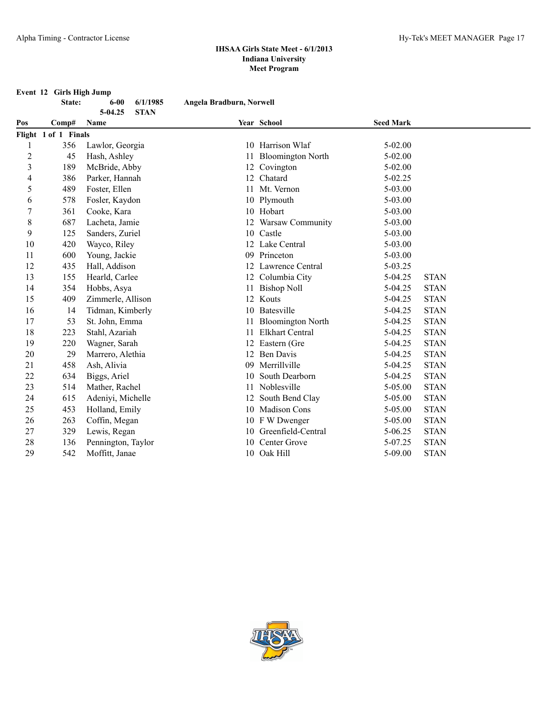# **Event 12 Girls High Jump**<br>**State:** 6-00 6/1/1985

|     | State:               | $6 - 00$           | 6/1/1985    | Angela Bradburn, Norwell |                          |                  |             |
|-----|----------------------|--------------------|-------------|--------------------------|--------------------------|------------------|-------------|
| Pos | Comp#                | 5-04.25<br>Name    | <b>STAN</b> |                          | Year School              | <b>Seed Mark</b> |             |
|     | Flight 1 of 1 Finals |                    |             |                          |                          |                  |             |
|     | 356                  | Lawlor, Georgia    |             |                          | 10 Harrison Wlaf         | 5-02.00          |             |
| 2   | 45                   | Hash, Ashley       |             | 11                       | <b>Bloomington North</b> | $5 - 02.00$      |             |
| 3   | 189                  | McBride, Abby      |             |                          | 12 Covington             | $5 - 02.00$      |             |
| 4   | 386                  | Parker, Hannah     |             | 12                       | Chatard                  | $5 - 02.25$      |             |
| 5   | 489                  | Foster, Ellen      |             |                          | Mt. Vernon               | 5-03.00          |             |
| 6   | 578                  | Fosler, Kaydon     |             |                          | 10 Plymouth              | 5-03.00          |             |
| 7   | 361                  | Cooke, Kara        |             |                          | 10 Hobart                | 5-03.00          |             |
| 8   | 687                  | Lacheta, Jamie     |             |                          | 12 Warsaw Community      | $5 - 03.00$      |             |
| 9   | 125                  | Sanders, Zuriel    |             | 10                       | Castle                   | $5 - 03.00$      |             |
| 10  | 420                  | Wayco, Riley       |             |                          | 12 Lake Central          | $5 - 03.00$      |             |
| 11  | 600                  | Young, Jackie      |             | 09                       | Princeton                | 5-03.00          |             |
| 12  | 435                  | Hall, Addison      |             |                          | 12 Lawrence Central      | 5-03.25          |             |
| 13  | 155                  | Hearld, Carlee     |             |                          | 12 Columbia City         | 5-04.25          | <b>STAN</b> |
| 14  | 354                  | Hobbs, Asya        |             |                          | 11 Bishop Noll           | 5-04.25          | <b>STAN</b> |
| 15  | 409                  | Zimmerle, Allison  |             |                          | 12 Kouts                 | 5-04.25          | <b>STAN</b> |
| 16  | 14                   | Tidman, Kimberly   |             |                          | 10 Batesville            | 5-04.25          | <b>STAN</b> |
| 17  | 53                   | St. John, Emma     |             |                          | <b>Bloomington North</b> | 5-04.25          | <b>STAN</b> |
| 18  | 223                  | Stahl, Azariah     |             | 11                       | <b>Elkhart Central</b>   | $5-04.25$        | <b>STAN</b> |
| 19  | 220                  | Wagner, Sarah      |             |                          | 12 Eastern (Gre          | 5-04.25          | <b>STAN</b> |
| 20  | 29                   | Marrero, Alethia   |             | 12 <sup>2</sup>          | <b>Ben Davis</b>         | 5-04.25          | <b>STAN</b> |
| 21  | 458                  | Ash, Alivia        |             | 09                       | Merrillville             | 5-04.25          | <b>STAN</b> |
| 22  | 634                  | Biggs, Ariel       |             | 10                       | South Dearborn           | $5-04.25$        | <b>STAN</b> |
| 23  | 514                  | Mather, Rachel     |             | 11                       | Noblesville              | 5-05.00          | <b>STAN</b> |
| 24  | 615                  | Adeniyi, Michelle  |             |                          | South Bend Clay          | 5-05.00          | <b>STAN</b> |
| 25  | 453                  | Holland, Emily     |             |                          | 10 Madison Cons          | 5-05.00          | <b>STAN</b> |
| 26  | 263                  | Coffin, Megan      |             | 10                       | F W Dwenger              | 5-05.00          | <b>STAN</b> |
| 27  | 329                  | Lewis, Regan       |             | 10                       | Greenfield-Central       | $5 - 06.25$      | <b>STAN</b> |
| 28  | 136                  | Pennington, Taylor |             | 10                       | Center Grove             | 5-07.25          | <b>STAN</b> |
| 29  | 542                  | Moffitt, Janae     |             |                          | 10 Oak Hill              | $5 - 09.00$      | <b>STAN</b> |

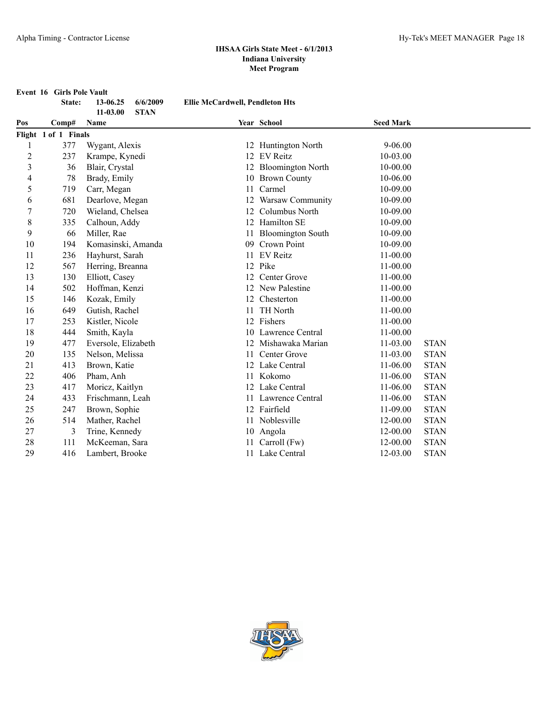**Event 16 Girls Pole Vault**

|                | State:               | 13-06.25            | 6/6/2009    | <b>Ellie McCardwell, Pendleton Hts</b> |                          |                  |             |
|----------------|----------------------|---------------------|-------------|----------------------------------------|--------------------------|------------------|-------------|
| Pos            | Comp#                | 11-03.00<br>Name    | <b>STAN</b> |                                        | Year School              | <b>Seed Mark</b> |             |
|                | Flight 1 of 1 Finals |                     |             |                                        |                          |                  |             |
| 1              | 377                  | Wygant, Alexis      |             |                                        | 12 Huntington North      | $9 - 06.00$      |             |
| $\overline{c}$ | 237                  | Krampe, Kynedi      |             |                                        | 12 EV Reitz              | 10-03.00         |             |
| 3              | 36                   | Blair, Crystal      |             |                                        | 12 Bloomington North     | 10-00.00         |             |
| 4              | 78                   | Brady, Emily        |             |                                        | 10 Brown County          | 10-06.00         |             |
| 5              | 719                  | Carr, Megan         |             | 11                                     | Carmel                   | 10-09.00         |             |
| 6              | 681                  | Dearlove, Megan     |             | 12                                     | Warsaw Community         | 10-09.00         |             |
| $\overline{7}$ | 720                  | Wieland, Chelsea    |             | 12                                     | Columbus North           | 10-09.00         |             |
| 8              | 335                  | Calhoun, Addy       |             |                                        | 12 Hamilton SE           | 10-09.00         |             |
| 9              | 66                   | Miller, Rae         |             | 11                                     | <b>Bloomington South</b> | 10-09.00         |             |
| 10             | 194                  | Komasinski, Amanda  |             | 09                                     | Crown Point              | 10-09.00         |             |
| 11             | 236                  | Hayhurst, Sarah     |             | 11                                     | <b>EV</b> Reitz          | $11-00.00$       |             |
| 12             | 567                  | Herring, Breanna    |             |                                        | 12 Pike                  | 11-00.00         |             |
| 13             | 130                  | Elliott, Casey      |             | 12                                     | Center Grove             | $11-00.00$       |             |
| 14             | 502                  | Hoffman, Kenzi      |             |                                        | 12 New Palestine         | $11-00.00$       |             |
| 15             | 146                  | Kozak, Emily        |             | 12                                     | Chesterton               | 11-00.00         |             |
| 16             | 649                  | Gutish, Rachel      |             | 11                                     | TH North                 | $11-00.00$       |             |
| 17             | 253                  | Kistler, Nicole     |             |                                        | 12 Fishers               | $11-00.00$       |             |
| 18             | 444                  | Smith, Kayla        |             |                                        | 10 Lawrence Central      | 11-00.00         |             |
| 19             | 477                  | Eversole, Elizabeth |             | 12                                     | Mishawaka Marian         | $11 - 03.00$     | <b>STAN</b> |
| 20             | 135                  | Nelson, Melissa     |             | 11                                     | Center Grove             | 11-03.00         | <b>STAN</b> |
| 21             | 413                  | Brown, Katie        |             |                                        | 12 Lake Central          | 11-06.00         | <b>STAN</b> |
| 22             | 406                  | Pham, Anh           |             | 11                                     | Kokomo                   | 11-06.00         | <b>STAN</b> |
| 23             | 417                  | Moricz, Kaitlyn     |             |                                        | 12 Lake Central          | 11-06.00         | <b>STAN</b> |
| 24             | 433                  | Frischmann, Leah    |             | 11                                     | Lawrence Central         | 11-06.00         | <b>STAN</b> |
| 25             | 247                  | Brown, Sophie       |             |                                        | 12 Fairfield             | 11-09.00         | <b>STAN</b> |
| 26             | 514                  | Mather, Rachel      |             | 11                                     | Noblesville              | 12-00.00         | <b>STAN</b> |
| 27             | 3                    | Trine, Kennedy      |             |                                        | 10 Angola                | 12-00.00         | <b>STAN</b> |
| 28             | 111                  | McKeeman, Sara      |             |                                        | Carroll (Fw)             | 12-00.00         | <b>STAN</b> |
| 29             | 416                  | Lambert, Brooke     |             |                                        | 11 Lake Central          | 12-03.00         | <b>STAN</b> |

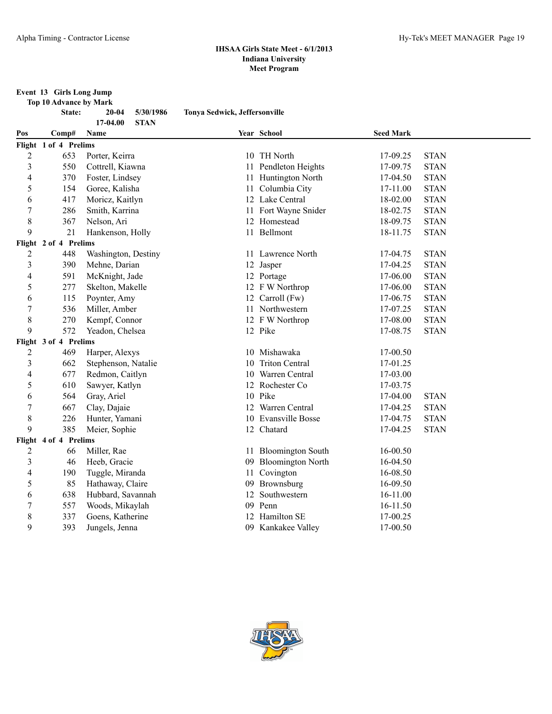# **Event 13 Girls Long Jump**

| Top 10 Advance by Mark |        |
|------------------------|--------|
| $C + 4$                | 20. Q4 |

**State: 20-04 5/30/1986 Tonya Sedwick, Jeffersonville**

| 17-04.00<br><b>STAN</b> |                       |                     |    |                       |                  |             |  |  |
|-------------------------|-----------------------|---------------------|----|-----------------------|------------------|-------------|--|--|
| Pos                     | Comp#                 | Name                |    | Year School           | <b>Seed Mark</b> |             |  |  |
|                         | Flight 1 of 4 Prelims |                     |    |                       |                  |             |  |  |
| $\overline{c}$          | 653                   | Porter, Keirra      |    | 10 TH North           | 17-09.25         | <b>STAN</b> |  |  |
| $\mathfrak{Z}$          | 550                   | Cottrell, Kiawna    | 11 | Pendleton Heights     | 17-09.75         | <b>STAN</b> |  |  |
| 4                       | 370                   | Foster, Lindsey     | 11 | Huntington North      | 17-04.50         | <b>STAN</b> |  |  |
| 5                       | 154                   | Goree, Kalisha      | 11 | Columbia City         | 17-11.00         | <b>STAN</b> |  |  |
| 6                       | 417                   | Moricz, Kaitlyn     |    | 12 Lake Central       | 18-02.00         | <b>STAN</b> |  |  |
| $\boldsymbol{7}$        | 286                   | Smith, Karrina      | 11 | Fort Wayne Snider     | 18-02.75         | <b>STAN</b> |  |  |
| $\,$ 8 $\,$             | 367                   | Nelson, Ari         |    | 12 Homestead          | 18-09.75         | <b>STAN</b> |  |  |
| 9                       | 21                    | Hankenson, Holly    |    | 11 Bellmont           | 18-11.75         | <b>STAN</b> |  |  |
|                         | Flight 2 of 4 Prelims |                     |    |                       |                  |             |  |  |
| $\overline{c}$          | 448                   | Washington, Destiny |    | 11 Lawrence North     | 17-04.75         | <b>STAN</b> |  |  |
| 3                       | 390                   | Mehne, Darian       |    | 12 Jasper             | 17-04.25         | <b>STAN</b> |  |  |
| $\overline{4}$          | 591                   | McKnight, Jade      |    | 12 Portage            | 17-06.00         | <b>STAN</b> |  |  |
| 5                       | 277                   | Skelton, Makelle    |    | 12 F W Northrop       | 17-06.00         | <b>STAN</b> |  |  |
| 6                       | 115                   | Poynter, Amy        |    | 12 Carroll (Fw)       | 17-06.75         | <b>STAN</b> |  |  |
| $\tau$                  | 536                   | Miller, Amber       |    | 11 Northwestern       | 17-07.25         | <b>STAN</b> |  |  |
| 8                       | 270                   | Kempf, Connor       |    | 12 F W Northrop       | 17-08.00         | <b>STAN</b> |  |  |
| 9                       | 572                   | Yeadon, Chelsea     |    | 12 Pike               | 17-08.75         | <b>STAN</b> |  |  |
|                         | Flight 3 of 4 Prelims |                     |    |                       |                  |             |  |  |
| $\overline{2}$          | 469                   | Harper, Alexys      |    | 10 Mishawaka          | 17-00.50         |             |  |  |
| $\mathfrak{Z}$          | 662                   | Stephenson, Natalie | 10 | <b>Triton Central</b> | 17-01.25         |             |  |  |
| $\overline{4}$          | 677                   | Redmon, Caitlyn     | 10 | Warren Central        | 17-03.00         |             |  |  |
| 5                       | 610                   | Sawyer, Katlyn      |    | 12 Rochester Co       | 17-03.75         |             |  |  |
| 6                       | 564                   | Gray, Ariel         |    | 10 Pike               | 17-04.00         | <b>STAN</b> |  |  |
| $\boldsymbol{7}$        | 667                   | Clay, Dajaie        |    | 12 Warren Central     | 17-04.25         | <b>STAN</b> |  |  |
| $\,$ $\,$               | 226                   | Hunter, Yamani      |    | 10 Evansville Bosse   | 17-04.75         | <b>STAN</b> |  |  |
| 9                       | 385                   | Meier, Sophie       |    | 12 Chatard            | 17-04.25         | <b>STAN</b> |  |  |
|                         | Flight 4 of 4 Prelims |                     |    |                       |                  |             |  |  |
| $\overline{c}$          | 66                    | Miller, Rae         |    | 11 Bloomington South  | 16-00.50         |             |  |  |
| $\mathfrak{Z}$          | 46                    | Heeb, Gracie        |    | 09 Bloomington North  | 16-04.50         |             |  |  |
| 4                       | 190                   | Tuggle, Miranda     |    | 11 Covington          | 16-08.50         |             |  |  |
| 5                       | 85                    | Hathaway, Claire    |    | 09 Brownsburg         | 16-09.50         |             |  |  |
| 6                       | 638                   | Hubbard, Savannah   | 12 | Southwestern          | 16-11.00         |             |  |  |
| $\boldsymbol{7}$        | 557                   | Woods, Mikaylah     |    | 09 Penn               | 16-11.50         |             |  |  |
| 8                       | 337                   | Goens, Katherine    |    | 12 Hamilton SE        | 17-00.25         |             |  |  |
| 9                       | 393                   | Jungels, Jenna      |    | 09 Kankakee Valley    | 17-00.50         |             |  |  |

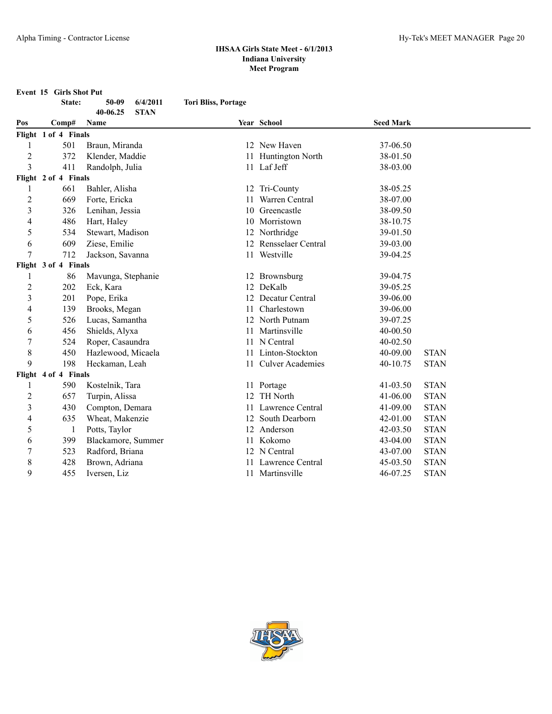**Event 15 Girls Shot Put**

|                                  | State:               | 6/4/2011<br>50-09       | <b>Tori Bliss, Portage</b> |                       |                      |             |
|----------------------------------|----------------------|-------------------------|----------------------------|-----------------------|----------------------|-------------|
|                                  |                      | 40-06.25<br><b>STAN</b> |                            | Year School           | <b>Seed Mark</b>     |             |
| Pos                              | Comp#                | Name                    |                            |                       |                      |             |
|                                  | Flight 1 of 4 Finals |                         |                            |                       |                      |             |
| 1                                | 501<br>372           | Braun, Miranda          |                            | 12 New Haven          | 37-06.50<br>38-01.50 |             |
| $\overline{2}$<br>$\overline{3}$ | 411                  | Klender, Maddie         | 11                         | Huntington North      |                      |             |
|                                  | Flight 2 of 4 Finals | Randolph, Julia         |                            | 11 Laf Jeff           | 38-03.00             |             |
| 1                                | 661                  | Bahler, Alisha          |                            | 12 Tri-County         | 38-05.25             |             |
| $\overline{2}$                   | 669                  | Forte, Ericka           | 11                         | Warren Central        | 38-07.00             |             |
| $\overline{\mathbf{3}}$          | 326                  | Lenihan, Jessia         |                            | 10 Greencastle        | 38-09.50             |             |
| 4                                | 486                  | Hart, Haley             |                            | 10 Morristown         | 38-10.75             |             |
| 5                                | 534                  | Stewart, Madison        |                            | 12 Northridge         | 39-01.50             |             |
| 6                                | 609                  | Ziese, Emilie           |                            | 12 Rensselaer Central | 39-03.00             |             |
| 7                                | 712                  | Jackson, Savanna        |                            | 11 Westville          | 39-04.25             |             |
|                                  | Flight 3 of 4 Finals |                         |                            |                       |                      |             |
| 1                                | 86                   | Mavunga, Stephanie      |                            | 12 Brownsburg         | 39-04.75             |             |
| $\overline{2}$                   | 202                  | Eck, Kara               |                            | 12 DeKalb             | 39-05.25             |             |
| $\mathfrak{Z}$                   | 201                  | Pope, Erika             |                            | 12 Decatur Central    | 39-06.00             |             |
| $\overline{4}$                   | 139                  | Brooks, Megan           | 11                         | Charlestown           | 39-06.00             |             |
| 5                                | 526                  | Lucas, Samantha         | 12                         | North Putnam          | 39-07.25             |             |
| 6                                | 456                  | Shields, Alyxa          | 11                         | Martinsville          | 40-00.50             |             |
| 7                                | 524                  | Roper, Casaundra        |                            | 11 N Central          | $40 - 02.50$         |             |
| $\,$ 8 $\,$                      | 450                  | Hazlewood, Micaela      |                            | 11 Linton-Stockton    | 40-09.00             | <b>STAN</b> |
| 9                                | 198                  | Heckaman, Leah          |                            | 11 Culver Academies   | 40-10.75             | <b>STAN</b> |
|                                  | Flight 4 of 4 Finals |                         |                            |                       |                      |             |
| 1                                | 590                  | Kostelnik, Tara         |                            | 11 Portage            | 41-03.50             | <b>STAN</b> |
| $\overline{2}$                   | 657                  | Turpin, Alissa          | 12                         | TH North              | 41-06.00             | <b>STAN</b> |
| $\overline{3}$                   | 430                  | Compton, Demara         |                            | 11 Lawrence Central   | 41-09.00             | <b>STAN</b> |
| 4                                | 635                  | Wheat, Makenzie         |                            | 12 South Dearborn     | $42 - 01.00$         | <b>STAN</b> |
| 5                                | 1                    | Potts, Taylor           |                            | 12 Anderson           | 42-03.50             | <b>STAN</b> |
| 6                                | 399                  | Blackamore, Summer      |                            | 11 Kokomo             | 43-04.00             | <b>STAN</b> |
| $\boldsymbol{7}$                 | 523                  | Radford, Briana         |                            | 12 N Central          | 43-07.00             | <b>STAN</b> |
| 8                                | 428                  | Brown, Adriana          |                            | Lawrence Central      | 45-03.50             | <b>STAN</b> |
| 9                                | 455                  | Iversen, Liz            |                            | 11 Martinsville       | 46-07.25             | <b>STAN</b> |